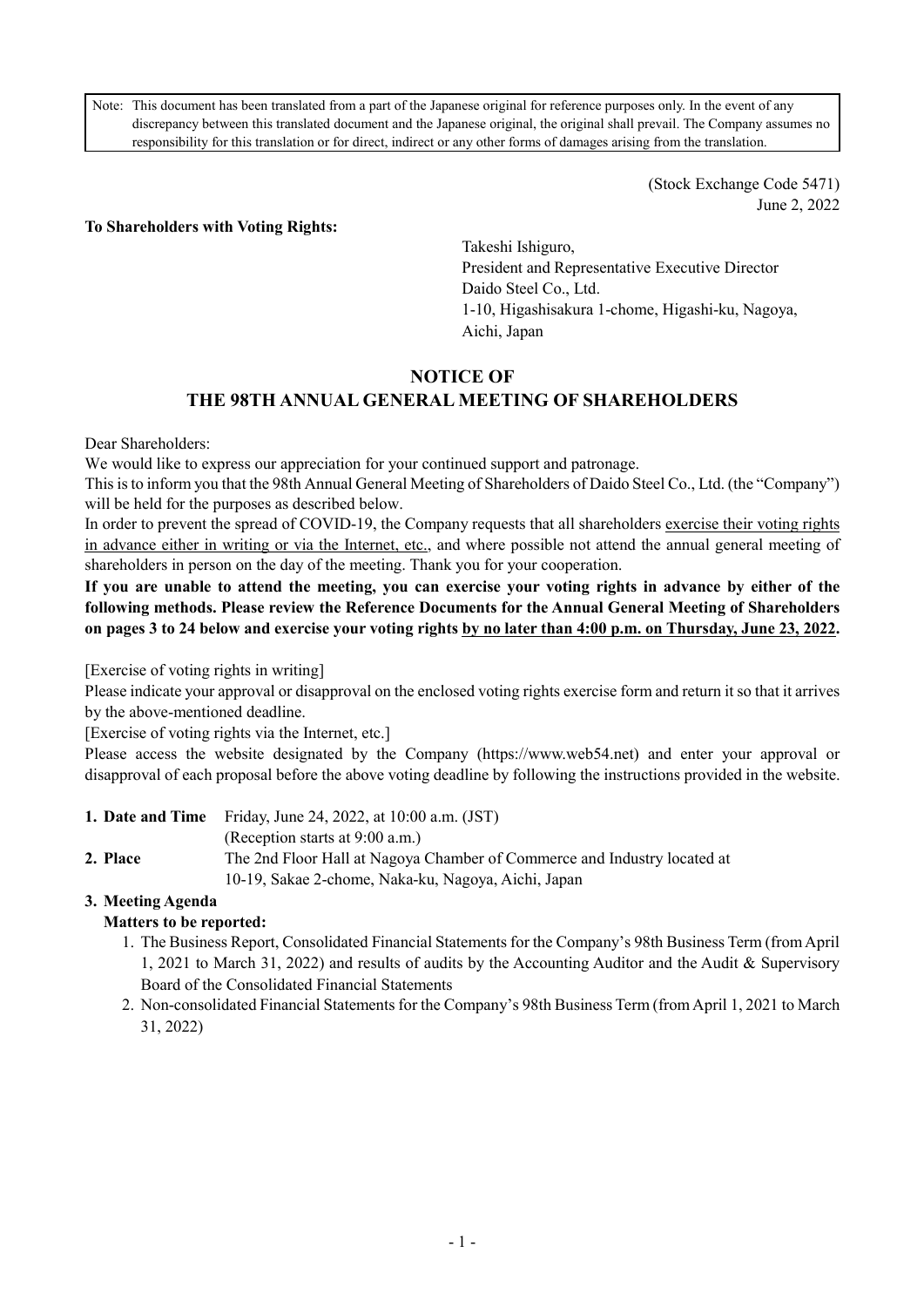Note: This document has been translated from a part of the Japanese original for reference purposes only. In the event of any discrepancy between this translated document and the Japanese original, the original shall prevail. The Company assumes no responsibility for this translation or for direct, indirect or any other forms of damages arising from the translation.

> (Stock Exchange Code 5471) June 2, 2022

#### **To Shareholders with Voting Rights:**

Takeshi Ishiguro, President and Representative Executive Director Daido Steel Co., Ltd. 1-10, Higashisakura 1-chome, Higashi-ku, Nagoya, Aichi, Japan

# **NOTICE OF THE 98TH ANNUAL GENERAL MEETING OF SHAREHOLDERS**

Dear Shareholders:

We would like to express our appreciation for your continued support and patronage.

This is to inform you that the 98th Annual General Meeting of Shareholders of Daido Steel Co., Ltd. (the "Company") will be held for the purposes as described below.

In order to prevent the spread of COVID-19, the Company requests that all shareholders exercise their voting rights in advance either in writing or via the Internet, etc., and where possible not attend the annual general meeting of shareholders in person on the day of the meeting. Thank you for your cooperation.

## **If you are unable to attend the meeting, you can exercise your voting rights in advance by either of the following methods. Please review the Reference Documents for the Annual General Meeting of Shareholders on pages 3 to 24 below and exercise your voting rights by no later than 4:00 p.m. on Thursday, June 23, 2022.**

[Exercise of voting rights in writing]

Please indicate your approval or disapproval on the enclosed voting rights exercise form and return it so that it arrives by the above-mentioned deadline.

[Exercise of voting rights via the Internet, etc.]

Please access the website designated by the Company (https://www.web54.net) and enter your approval or disapproval of each proposal before the above voting deadline by following the instructions provided in the website.

|          | <b>1. Date and Time</b> Friday, June 24, 2022, at $10:00$ a.m. (JST)     |
|----------|--------------------------------------------------------------------------|
|          | (Reception starts at 9:00 a.m.)                                          |
| 2. Place | The 2nd Floor Hall at Nagoya Chamber of Commerce and Industry located at |
|          | 10-19, Sakae 2-chome, Naka-ku, Nagoya, Aichi, Japan                      |

# **3. Meeting Agenda**

#### **Matters to be reported:**

- 1. The Business Report, Consolidated Financial Statements for the Company's 98th Business Term (from April 1, 2021 to March 31, 2022) and results of audits by the Accounting Auditor and the Audit & Supervisory Board of the Consolidated Financial Statements
- 2. Non-consolidated Financial Statements for the Company's 98th Business Term (from April 1, 2021 to March 31, 2022)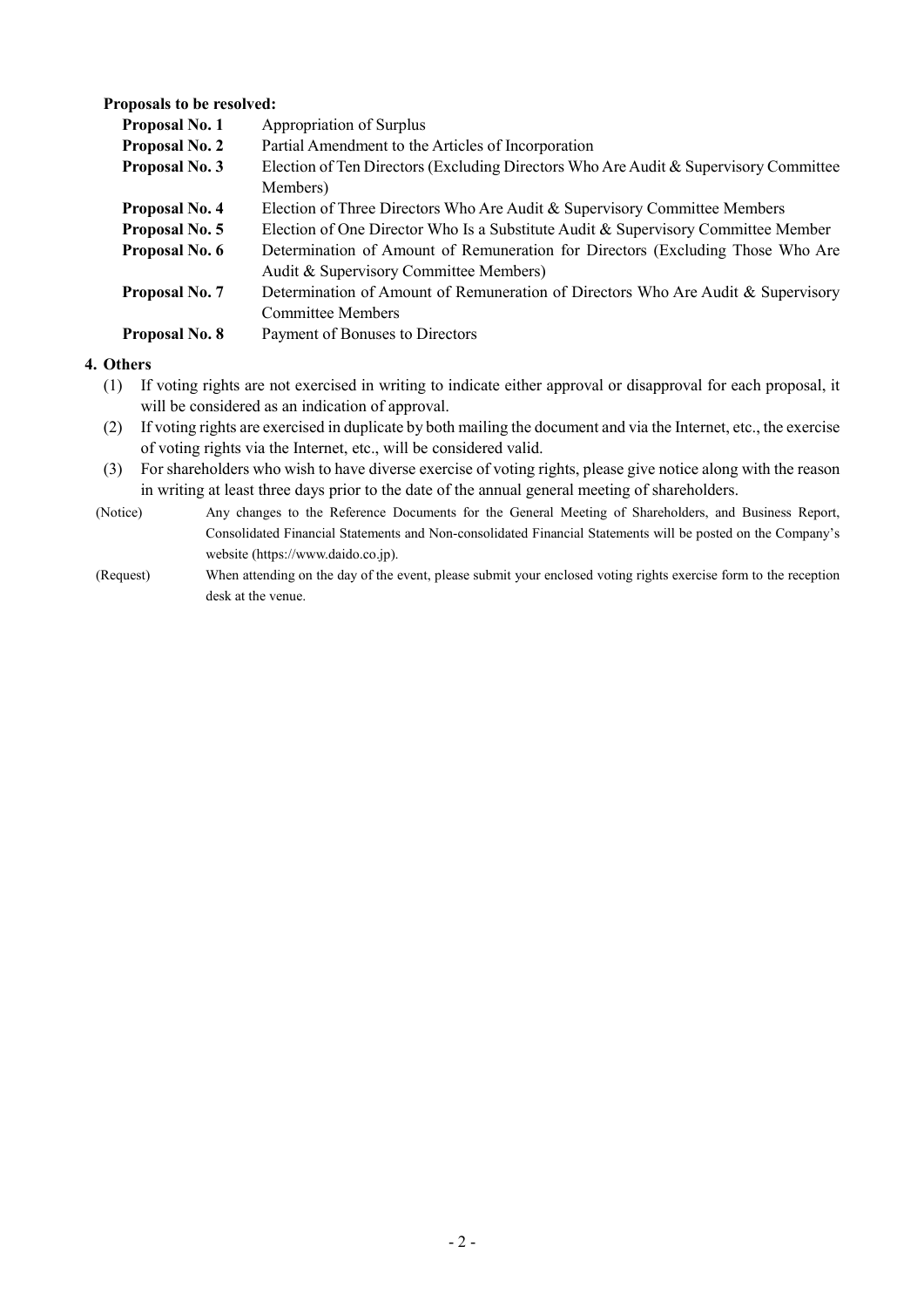#### **Proposals to be resolved:**

| Proposal No. 1        | Appropriation of Surplus                                                             |
|-----------------------|--------------------------------------------------------------------------------------|
| <b>Proposal No. 2</b> | Partial Amendment to the Articles of Incorporation                                   |
| Proposal No. 3        | Election of Ten Directors (Excluding Directors Who Are Audit & Supervisory Committee |
|                       | Members)                                                                             |
| Proposal No. 4        | Election of Three Directors Who Are Audit & Supervisory Committee Members            |
| Proposal No. 5        | Election of One Director Who Is a Substitute Audit & Supervisory Committee Member    |
| Proposal No. 6        | Determination of Amount of Remuneration for Directors (Excluding Those Who Are       |
|                       | Audit & Supervisory Committee Members)                                               |
| Proposal No. 7        | Determination of Amount of Remuneration of Directors Who Are Audit & Supervisory     |
|                       | <b>Committee Members</b>                                                             |
| Proposal No. 8        | Payment of Bonuses to Directors                                                      |

#### **4. Others**

- (1) If voting rights are not exercised in writing to indicate either approval or disapproval for each proposal, it will be considered as an indication of approval.
- (2) If voting rights are exercised in duplicate by both mailing the document and via the Internet, etc., the exercise of voting rights via the Internet, etc., will be considered valid.
- (3) For shareholders who wish to have diverse exercise of voting rights, please give notice along with the reason in writing at least three days prior to the date of the annual general meeting of shareholders.
- (Notice) Any changes to the Reference Documents for the General Meeting of Shareholders, and Business Report, Consolidated Financial Statements and Non-consolidated Financial Statements will be posted on the Company's website (https://www.daido.co.jp).
- (Request) When attending on the day of the event, please submit your enclosed voting rights exercise form to the reception desk at the venue.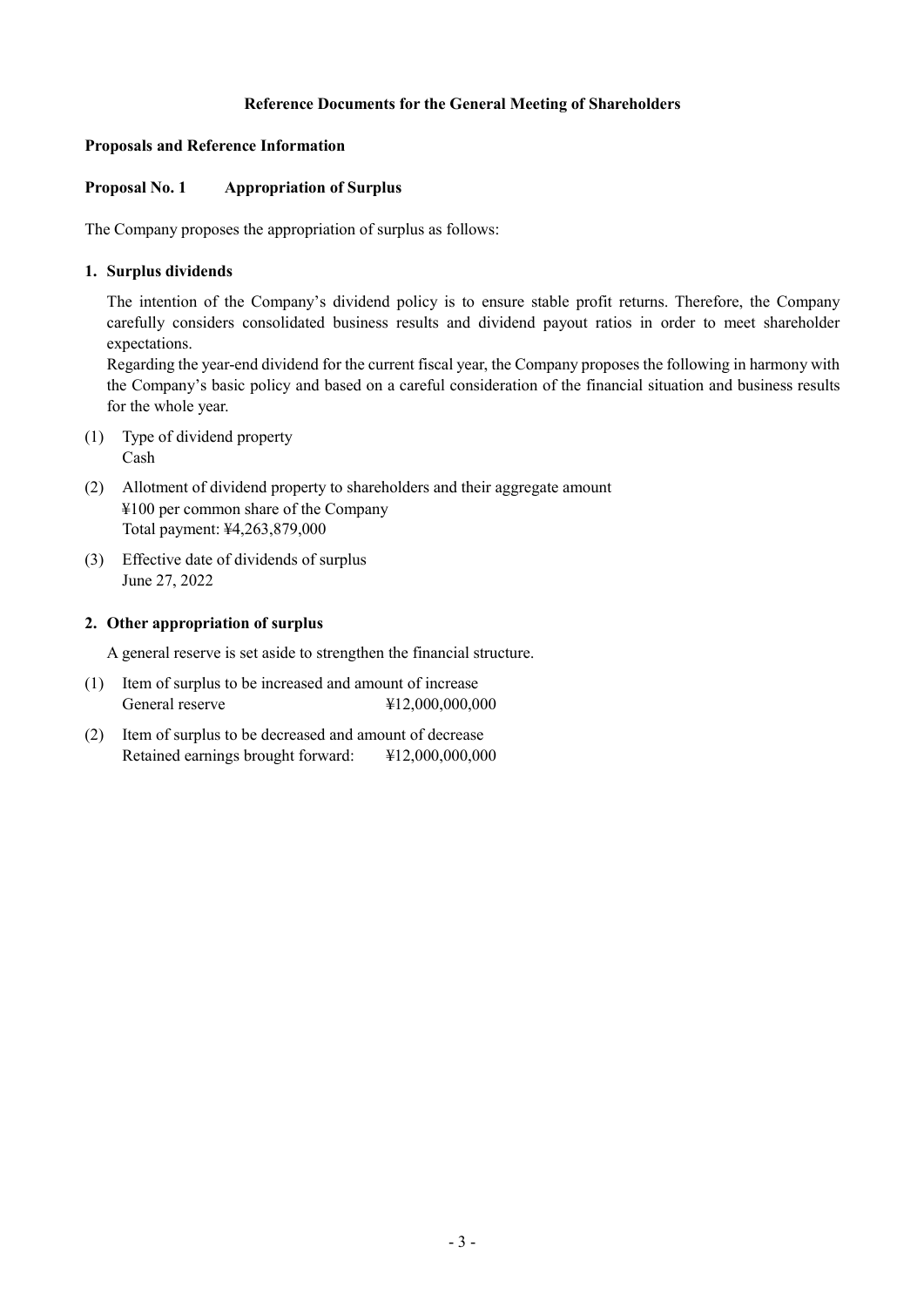### **Reference Documents for the General Meeting of Shareholders**

#### **Proposals and Reference Information**

### **Proposal No. 1 Appropriation of Surplus**

The Company proposes the appropriation of surplus as follows:

### **1. Surplus dividends**

The intention of the Company's dividend policy is to ensure stable profit returns. Therefore, the Company carefully considers consolidated business results and dividend payout ratios in order to meet shareholder expectations.

Regarding the year-end dividend for the current fiscal year, the Company proposes the following in harmony with the Company's basic policy and based on a careful consideration of the financial situation and business results for the whole year.

- (1) Type of dividend property Cash
- (2) Allotment of dividend property to shareholders and their aggregate amount ¥100 per common share of the Company Total payment: ¥4,263,879,000
- (3) Effective date of dividends of surplus June 27, 2022

#### **2. Other appropriation of surplus**

A general reserve is set aside to strengthen the financial structure.

- (1) Item of surplus to be increased and amount of increase General reserve  $\text{\#12,000,000,000}$
- (2) Item of surplus to be decreased and amount of decrease Retained earnings brought forward: ¥12,000,000,000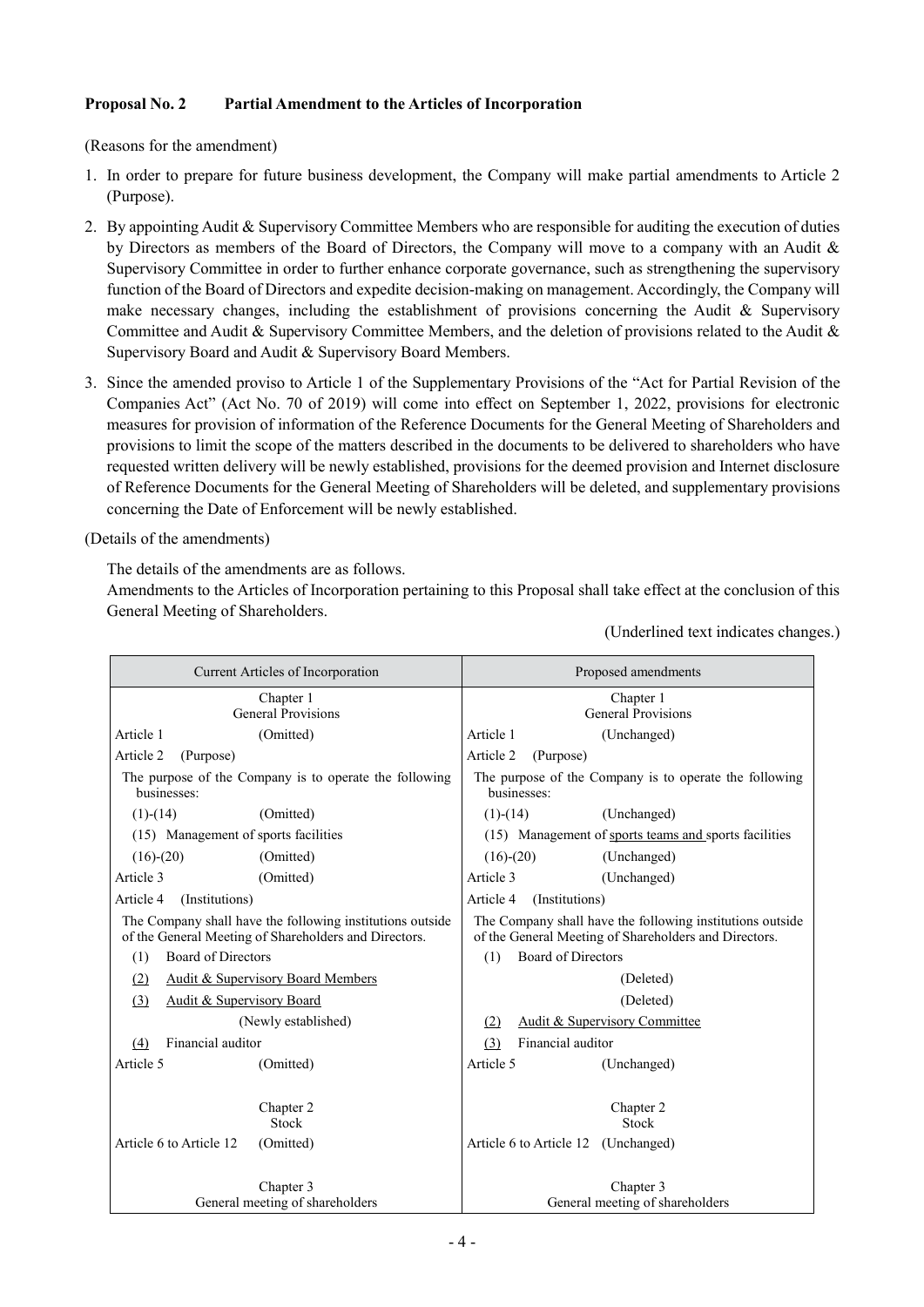## **Proposal No. 2 Partial Amendment to the Articles of Incorporation**

(Reasons for the amendment)

- 1. In order to prepare for future business development, the Company will make partial amendments to Article 2 (Purpose).
- 2. By appointing Audit & Supervisory Committee Members who are responsible for auditing the execution of duties by Directors as members of the Board of Directors, the Company will move to a company with an Audit & Supervisory Committee in order to further enhance corporate governance, such as strengthening the supervisory function of the Board of Directors and expedite decision-making on management. Accordingly, the Company will make necessary changes, including the establishment of provisions concerning the Audit  $\&$  Supervisory Committee and Audit & Supervisory Committee Members, and the deletion of provisions related to the Audit & Supervisory Board and Audit & Supervisory Board Members.
- 3. Since the amended proviso to Article 1 of the Supplementary Provisions of the "Act for Partial Revision of the Companies Act" (Act No. 70 of 2019) will come into effect on September 1, 2022, provisions for electronic measures for provision of information of the Reference Documents for the General Meeting of Shareholders and provisions to limit the scope of the matters described in the documents to be delivered to shareholders who have requested written delivery will be newly established, provisions for the deemed provision and Internet disclosure of Reference Documents for the General Meeting of Shareholders will be deleted, and supplementary provisions concerning the Date of Enforcement will be newly established.

(Details of the amendments)

The details of the amendments are as follows.

Amendments to the Articles of Incorporation pertaining to this Proposal shall take effect at the conclusion of this General Meeting of Shareholders.

(Underlined text indicates changes.)

| Current Articles of Incorporation                         | Proposed amendments                                       |  |
|-----------------------------------------------------------|-----------------------------------------------------------|--|
| Chapter 1                                                 | Chapter 1                                                 |  |
| General Provisions                                        | <b>General Provisions</b>                                 |  |
| Article 1                                                 | Article 1                                                 |  |
| (Omitted)                                                 | (Unchanged)                                               |  |
| Article 2                                                 | Article 2                                                 |  |
| (Purpose)                                                 | (Purpose)                                                 |  |
| The purpose of the Company is to operate the following    | The purpose of the Company is to operate the following    |  |
| businesses:                                               | businesses:                                               |  |
| (Omitted)                                                 | $(1)-(14)$                                                |  |
| $(1)-(14)$                                                | (Unchanged)                                               |  |
| (15) Management of sports facilities                      | (15) Management of sports teams and sports facilities     |  |
| $(16)-(20)$                                               | $(16)-(20)$                                               |  |
| (Omitted)                                                 | (Unchanged)                                               |  |
| Article 3                                                 | Article 3                                                 |  |
| (Omitted)                                                 | (Unchanged)                                               |  |
| (Institutions)                                            | Article 4                                                 |  |
| Article 4                                                 | (Institutions)                                            |  |
| The Company shall have the following institutions outside | The Company shall have the following institutions outside |  |
| of the General Meeting of Shareholders and Directors.     | of the General Meeting of Shareholders and Directors.     |  |
| Board of Directors                                        | <b>Board of Directors</b>                                 |  |
| (1)                                                       | (1)                                                       |  |
| <b>Audit &amp; Supervisory Board Members</b><br>(2)       | (Deleted)                                                 |  |
| <b>Audit &amp; Supervisory Board</b><br>(3)               | (Deleted)                                                 |  |
| (Newly established)                                       | Audit & Supervisory Committee<br>(2)                      |  |
| Financial auditor                                         | Financial auditor                                         |  |
| (4)                                                       | (3)                                                       |  |
| Article 5                                                 | Article 5                                                 |  |
| (Omitted)                                                 | (Unchanged)                                               |  |
|                                                           |                                                           |  |
| Chapter 2                                                 | Chapter 2                                                 |  |
| Stock                                                     | Stock                                                     |  |
| Article 6 to Article 12<br>(Omitted)                      | Article 6 to Article 12 (Unchanged)                       |  |
|                                                           |                                                           |  |
| Chapter 3                                                 | Chapter 3                                                 |  |
| General meeting of shareholders                           | General meeting of shareholders                           |  |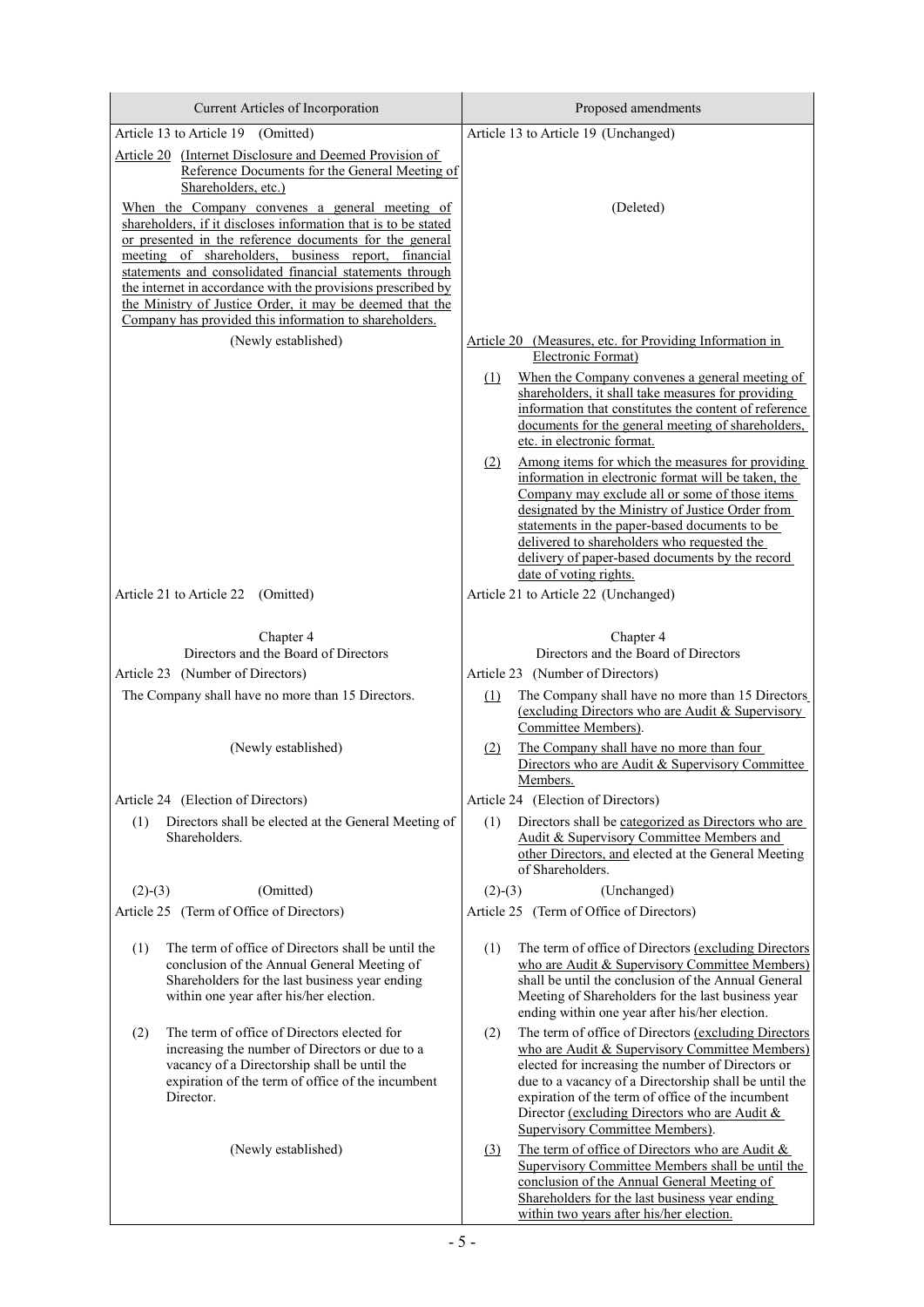| Current Articles of Incorporation                                                                                                                                                                                                                                                                                                                                                                                                                                                    | Proposed amendments                                                                                                                                                                                                                                                                                                                                                                               |  |  |
|--------------------------------------------------------------------------------------------------------------------------------------------------------------------------------------------------------------------------------------------------------------------------------------------------------------------------------------------------------------------------------------------------------------------------------------------------------------------------------------|---------------------------------------------------------------------------------------------------------------------------------------------------------------------------------------------------------------------------------------------------------------------------------------------------------------------------------------------------------------------------------------------------|--|--|
| Article 13 to Article 19 (Omitted)                                                                                                                                                                                                                                                                                                                                                                                                                                                   | Article 13 to Article 19 (Unchanged)                                                                                                                                                                                                                                                                                                                                                              |  |  |
| Article 20 (Internet Disclosure and Deemed Provision of<br>Reference Documents for the General Meeting of<br>Shareholders, etc.)                                                                                                                                                                                                                                                                                                                                                     |                                                                                                                                                                                                                                                                                                                                                                                                   |  |  |
| When the Company convenes a general meeting of<br>shareholders, if it discloses information that is to be stated<br>or presented in the reference documents for the general<br>meeting of shareholders, business report, financial<br>statements and consolidated financial statements through<br>the internet in accordance with the provisions prescribed by<br>the Ministry of Justice Order, it may be deemed that the<br>Company has provided this information to shareholders. | (Deleted)                                                                                                                                                                                                                                                                                                                                                                                         |  |  |
| (Newly established)                                                                                                                                                                                                                                                                                                                                                                                                                                                                  | Article 20 (Measures, etc. for Providing Information in                                                                                                                                                                                                                                                                                                                                           |  |  |
|                                                                                                                                                                                                                                                                                                                                                                                                                                                                                      | Electronic Format)<br>When the Company convenes a general meeting of<br>$\Omega$<br>shareholders, it shall take measures for providing<br>information that constitutes the content of reference<br>documents for the general meeting of shareholders,<br>etc. in electronic format.                                                                                                               |  |  |
|                                                                                                                                                                                                                                                                                                                                                                                                                                                                                      | Among items for which the measures for providing<br>(2)<br>information in electronic format will be taken, the<br>Company may exclude all or some of those items<br>designated by the Ministry of Justice Order from<br>statements in the paper-based documents to be<br>delivered to shareholders who requested the<br>delivery of paper-based documents by the record<br>date of voting rights. |  |  |
| Article 21 to Article 22 (Omitted)                                                                                                                                                                                                                                                                                                                                                                                                                                                   | Article 21 to Article 22 (Unchanged)                                                                                                                                                                                                                                                                                                                                                              |  |  |
| Chapter 4<br>Directors and the Board of Directors                                                                                                                                                                                                                                                                                                                                                                                                                                    | Chapter 4<br>Directors and the Board of Directors                                                                                                                                                                                                                                                                                                                                                 |  |  |
| Article 23 (Number of Directors)                                                                                                                                                                                                                                                                                                                                                                                                                                                     | Article 23 (Number of Directors)                                                                                                                                                                                                                                                                                                                                                                  |  |  |
| The Company shall have no more than 15 Directors.                                                                                                                                                                                                                                                                                                                                                                                                                                    | (1)<br>The Company shall have no more than 15 Directors<br>(excluding Directors who are Audit & Supervisory<br>Committee Members).                                                                                                                                                                                                                                                                |  |  |
| (Newly established)                                                                                                                                                                                                                                                                                                                                                                                                                                                                  | The Company shall have no more than four<br>(2)<br>Directors who are Audit & Supervisory Committee<br>Members.                                                                                                                                                                                                                                                                                    |  |  |
| Article 24 (Election of Directors)                                                                                                                                                                                                                                                                                                                                                                                                                                                   | Article 24 (Election of Directors)                                                                                                                                                                                                                                                                                                                                                                |  |  |
| (1)<br>Directors shall be elected at the General Meeting of<br>Shareholders.                                                                                                                                                                                                                                                                                                                                                                                                         | Directors shall be categorized as Directors who are<br>(1)<br>Audit & Supervisory Committee Members and<br>other Directors, and elected at the General Meeting<br>of Shareholders.                                                                                                                                                                                                                |  |  |
| (Omitted)<br>$(2)-(3)$                                                                                                                                                                                                                                                                                                                                                                                                                                                               | (Unchanged)<br>$(2)-(3)$                                                                                                                                                                                                                                                                                                                                                                          |  |  |
| Article 25 (Term of Office of Directors)                                                                                                                                                                                                                                                                                                                                                                                                                                             | Article 25 (Term of Office of Directors)                                                                                                                                                                                                                                                                                                                                                          |  |  |
| The term of office of Directors shall be until the<br>(1)<br>conclusion of the Annual General Meeting of<br>Shareholders for the last business year ending<br>within one year after his/her election.                                                                                                                                                                                                                                                                                | The term of office of Directors (excluding Directors<br>(1)<br>who are Audit & Supervisory Committee Members)<br>shall be until the conclusion of the Annual General<br>Meeting of Shareholders for the last business year<br>ending within one year after his/her election.                                                                                                                      |  |  |
| The term of office of Directors elected for<br>(2)<br>increasing the number of Directors or due to a<br>vacancy of a Directorship shall be until the<br>expiration of the term of office of the incumbent<br>Director.                                                                                                                                                                                                                                                               | The term of office of Directors (excluding Directors<br>(2)<br>who are Audit & Supervisory Committee Members)<br>elected for increasing the number of Directors or<br>due to a vacancy of a Directorship shall be until the<br>expiration of the term of office of the incumbent<br>Director (excluding Directors who are Audit &<br><b>Supervisory Committee Members).</b>                       |  |  |
| (Newly established)                                                                                                                                                                                                                                                                                                                                                                                                                                                                  | The term of office of Directors who are Audit &<br>(3)<br>Supervisory Committee Members shall be until the<br>conclusion of the Annual General Meeting of<br>Shareholders for the last business year ending<br>within two years after his/her election.                                                                                                                                           |  |  |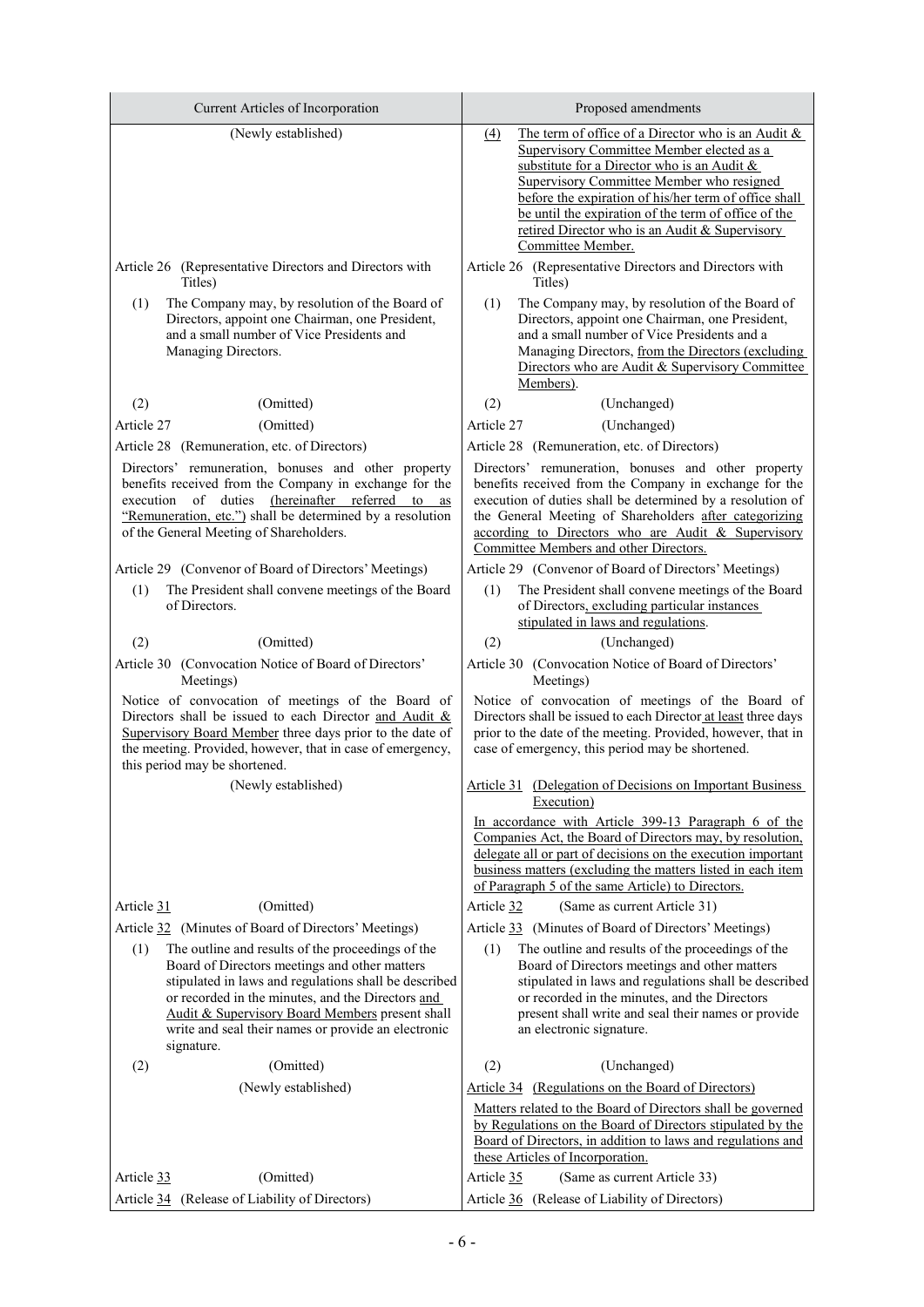| Current Articles of Incorporation                                                                                                                                                                                                                                                                                                               | Proposed amendments                                                                                                                                                                                                                                                                                                                                                                                |  |  |
|-------------------------------------------------------------------------------------------------------------------------------------------------------------------------------------------------------------------------------------------------------------------------------------------------------------------------------------------------|----------------------------------------------------------------------------------------------------------------------------------------------------------------------------------------------------------------------------------------------------------------------------------------------------------------------------------------------------------------------------------------------------|--|--|
| (Newly established)                                                                                                                                                                                                                                                                                                                             | The term of office of a Director who is an Audit &<br>$\triangle$<br>Supervisory Committee Member elected as a<br>substitute for a Director who is an Audit &<br>Supervisory Committee Member who resigned<br>before the expiration of his/her term of office shall<br>be until the expiration of the term of office of the<br>retired Director who is an Audit & Supervisory<br>Committee Member. |  |  |
| Article 26 (Representative Directors and Directors with<br>Titles)                                                                                                                                                                                                                                                                              | Article 26 (Representative Directors and Directors with<br>Titles)                                                                                                                                                                                                                                                                                                                                 |  |  |
| The Company may, by resolution of the Board of<br>(1)<br>Directors, appoint one Chairman, one President,<br>and a small number of Vice Presidents and<br>Managing Directors.                                                                                                                                                                    | The Company may, by resolution of the Board of<br>(1)<br>Directors, appoint one Chairman, one President,<br>and a small number of Vice Presidents and a<br>Managing Directors, from the Directors (excluding<br>Directors who are Audit & Supervisory Committee<br>Members).                                                                                                                       |  |  |
| (2)<br>(Omitted)                                                                                                                                                                                                                                                                                                                                | (2)<br>(Unchanged)                                                                                                                                                                                                                                                                                                                                                                                 |  |  |
| Article 27<br>(Omitted)                                                                                                                                                                                                                                                                                                                         | Article 27<br>(Unchanged)                                                                                                                                                                                                                                                                                                                                                                          |  |  |
| Article 28 (Remuneration, etc. of Directors)                                                                                                                                                                                                                                                                                                    | Article 28 (Remuneration, etc. of Directors)                                                                                                                                                                                                                                                                                                                                                       |  |  |
| Directors' remuneration, bonuses and other property<br>benefits received from the Company in exchange for the<br>of duties (hereinafter referred to<br>execution<br>as<br>"Remuneration, etc.") shall be determined by a resolution<br>of the General Meeting of Shareholders.                                                                  | Directors' remuneration, bonuses and other property<br>benefits received from the Company in exchange for the<br>execution of duties shall be determined by a resolution of<br>the General Meeting of Shareholders after categorizing<br>according to Directors who are Audit & Supervisory<br>Committee Members and other Directors.                                                              |  |  |
| Article 29 (Convenor of Board of Directors' Meetings)                                                                                                                                                                                                                                                                                           | Article 29 (Convenor of Board of Directors' Meetings)                                                                                                                                                                                                                                                                                                                                              |  |  |
| The President shall convene meetings of the Board<br>(1)<br>of Directors.                                                                                                                                                                                                                                                                       | The President shall convene meetings of the Board<br>(1)<br>of Directors, excluding particular instances<br>stipulated in laws and regulations.                                                                                                                                                                                                                                                    |  |  |
| (2)<br>(Omitted)                                                                                                                                                                                                                                                                                                                                | (Unchanged)<br>(2)                                                                                                                                                                                                                                                                                                                                                                                 |  |  |
| Article 30 (Convocation Notice of Board of Directors'<br>Meetings)                                                                                                                                                                                                                                                                              | Article 30 (Convocation Notice of Board of Directors'<br>Meetings)                                                                                                                                                                                                                                                                                                                                 |  |  |
| Notice of convocation of meetings of the Board of<br>Directors shall be issued to each Director and Audit &<br>Supervisory Board Member three days prior to the date of<br>the meeting. Provided, however, that in case of emergency,<br>this period may be shortened.                                                                          | Notice of convocation of meetings of the Board of<br>Directors shall be issued to each Director at least three days<br>prior to the date of the meeting. Provided, however, that in<br>case of emergency, this period may be shortened.                                                                                                                                                            |  |  |
| (Newly established)                                                                                                                                                                                                                                                                                                                             | Article 31 (Delegation of Decisions on Important Business<br>Execution)                                                                                                                                                                                                                                                                                                                            |  |  |
|                                                                                                                                                                                                                                                                                                                                                 | In accordance with Article 399-13 Paragraph 6 of the<br>Companies Act, the Board of Directors may, by resolution,<br>delegate all or part of decisions on the execution important<br>business matters (excluding the matters listed in each item<br>of Paragraph 5 of the same Article) to Directors.                                                                                              |  |  |
| (Omitted)<br>Article 31                                                                                                                                                                                                                                                                                                                         | Article 32<br>(Same as current Article 31)                                                                                                                                                                                                                                                                                                                                                         |  |  |
| Article 32 (Minutes of Board of Directors' Meetings)                                                                                                                                                                                                                                                                                            | Article 33 (Minutes of Board of Directors' Meetings)                                                                                                                                                                                                                                                                                                                                               |  |  |
| (1)<br>The outline and results of the proceedings of the<br>Board of Directors meetings and other matters<br>stipulated in laws and regulations shall be described<br>or recorded in the minutes, and the Directors and<br>Audit & Supervisory Board Members present shall<br>write and seal their names or provide an electronic<br>signature. | (1)<br>The outline and results of the proceedings of the<br>Board of Directors meetings and other matters<br>stipulated in laws and regulations shall be described<br>or recorded in the minutes, and the Directors<br>present shall write and seal their names or provide<br>an electronic signature.                                                                                             |  |  |
| (Omitted)<br>(2)                                                                                                                                                                                                                                                                                                                                | (2)<br>(Unchanged)                                                                                                                                                                                                                                                                                                                                                                                 |  |  |
| (Newly established)<br>(Omitted)<br>Article 33                                                                                                                                                                                                                                                                                                  | (Regulations on the Board of Directors)<br>Article 34<br>Matters related to the Board of Directors shall be governed<br>by Regulations on the Board of Directors stipulated by the<br>Board of Directors, in addition to laws and regulations and<br>these Articles of Incorporation.<br>Article 35<br>(Same as current Article 33)                                                                |  |  |
| Article 34 (Release of Liability of Directors)                                                                                                                                                                                                                                                                                                  | Article 36 (Release of Liability of Directors)                                                                                                                                                                                                                                                                                                                                                     |  |  |
|                                                                                                                                                                                                                                                                                                                                                 |                                                                                                                                                                                                                                                                                                                                                                                                    |  |  |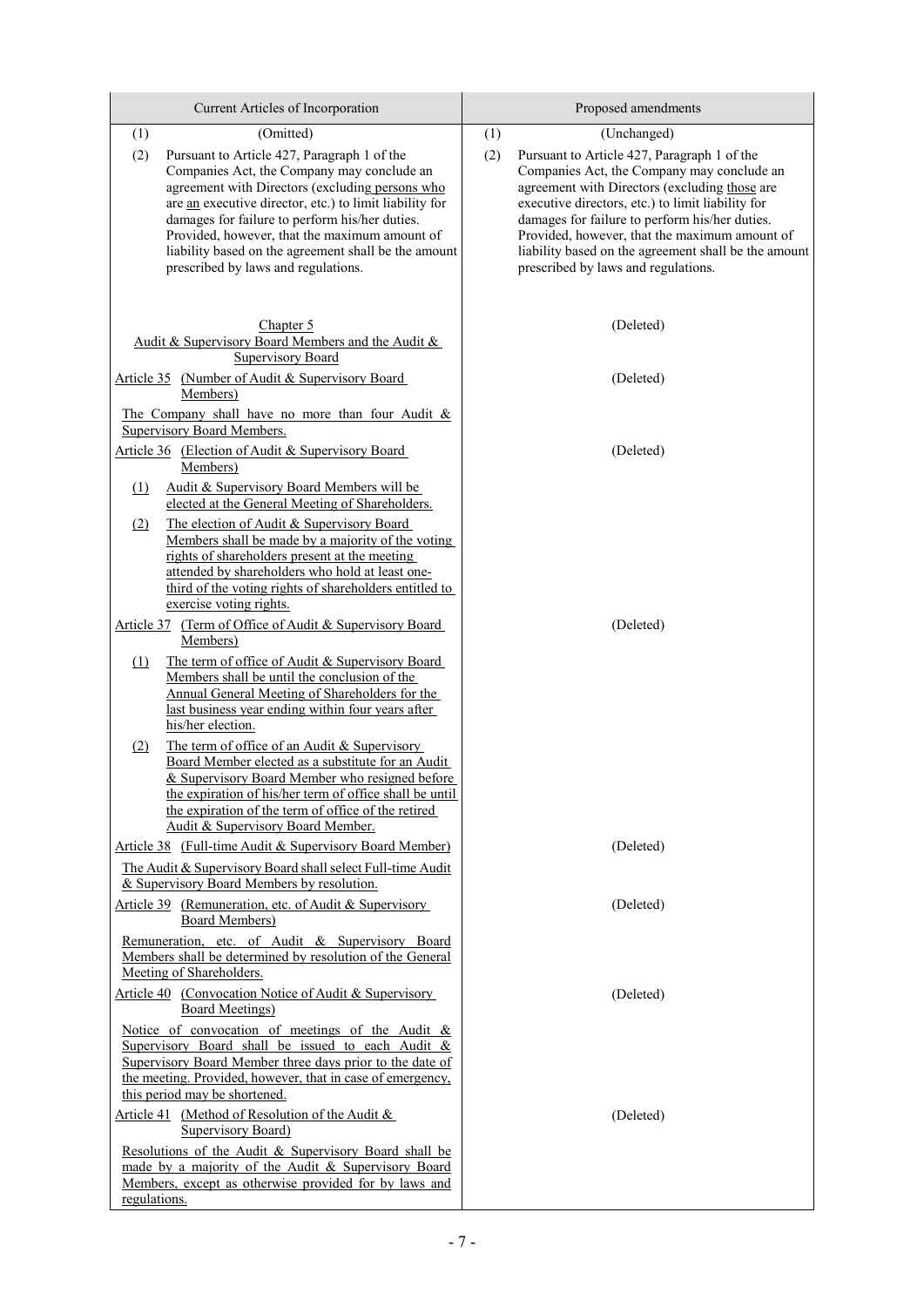| Current Articles of Incorporation                                                                                                                                                                                                                                                                                                                                                                                | Proposed amendments                                                                                                                                                                                                                                                                                                                                                                                      |  |
|------------------------------------------------------------------------------------------------------------------------------------------------------------------------------------------------------------------------------------------------------------------------------------------------------------------------------------------------------------------------------------------------------------------|----------------------------------------------------------------------------------------------------------------------------------------------------------------------------------------------------------------------------------------------------------------------------------------------------------------------------------------------------------------------------------------------------------|--|
| (Omitted)<br>(1)                                                                                                                                                                                                                                                                                                                                                                                                 | (Unchanged)<br>(1)                                                                                                                                                                                                                                                                                                                                                                                       |  |
| (2)<br>Pursuant to Article 427, Paragraph 1 of the<br>Companies Act, the Company may conclude an<br>agreement with Directors (excluding persons who<br>are an executive director, etc.) to limit liability for<br>damages for failure to perform his/her duties.<br>Provided, however, that the maximum amount of<br>liability based on the agreement shall be the amount<br>prescribed by laws and regulations. | (2)<br>Pursuant to Article 427, Paragraph 1 of the<br>Companies Act, the Company may conclude an<br>agreement with Directors (excluding those are<br>executive directors, etc.) to limit liability for<br>damages for failure to perform his/her duties.<br>Provided, however, that the maximum amount of<br>liability based on the agreement shall be the amount<br>prescribed by laws and regulations. |  |
| Chapter 5<br>Audit & Supervisory Board Members and the Audit &                                                                                                                                                                                                                                                                                                                                                   | (Deleted)                                                                                                                                                                                                                                                                                                                                                                                                |  |
| <b>Supervisory Board</b><br>Article 35 (Number of Audit & Supervisory Board<br>Members)                                                                                                                                                                                                                                                                                                                          | (Deleted)                                                                                                                                                                                                                                                                                                                                                                                                |  |
| The Company shall have no more than four Audit &<br>Supervisory Board Members.                                                                                                                                                                                                                                                                                                                                   |                                                                                                                                                                                                                                                                                                                                                                                                          |  |
| Article 36 (Election of Audit & Supervisory Board<br>Members)                                                                                                                                                                                                                                                                                                                                                    | (Deleted)                                                                                                                                                                                                                                                                                                                                                                                                |  |
| Audit & Supervisory Board Members will be<br>(1)<br>elected at the General Meeting of Shareholders.                                                                                                                                                                                                                                                                                                              |                                                                                                                                                                                                                                                                                                                                                                                                          |  |
| (2)<br>The election of Audit & Supervisory Board<br>Members shall be made by a majority of the voting<br>rights of shareholders present at the meeting<br>attended by shareholders who hold at least one-<br>third of the voting rights of shareholders entitled to<br>exercise voting rights.                                                                                                                   |                                                                                                                                                                                                                                                                                                                                                                                                          |  |
| Article 37 (Term of Office of Audit & Supervisory Board<br>Members)                                                                                                                                                                                                                                                                                                                                              | (Deleted)                                                                                                                                                                                                                                                                                                                                                                                                |  |
| The term of office of Audit & Supervisory Board<br>$\Omega$<br>Members shall be until the conclusion of the<br>Annual General Meeting of Shareholders for the<br>last business year ending within four years after<br>his/her election.                                                                                                                                                                          |                                                                                                                                                                                                                                                                                                                                                                                                          |  |
| The term of office of an Audit & Supervisory<br>(2)<br>Board Member elected as a substitute for an Audit<br>& Supervisory Board Member who resigned before<br>the expiration of his/her term of office shall be until<br>the expiration of the term of office of the retired<br>Audit & Supervisory Board Member.                                                                                                |                                                                                                                                                                                                                                                                                                                                                                                                          |  |
| Article 38 (Full-time Audit & Supervisory Board Member)<br>The Audit & Supervisory Board shall select Full-time Audit<br>& Supervisory Board Members by resolution.                                                                                                                                                                                                                                              | (Deleted)                                                                                                                                                                                                                                                                                                                                                                                                |  |
| Article 39 (Remuneration, etc. of Audit & Supervisory<br><b>Board Members</b> )                                                                                                                                                                                                                                                                                                                                  | (Deleted)                                                                                                                                                                                                                                                                                                                                                                                                |  |
| Remuneration, etc. of Audit & Supervisory Board<br>Members shall be determined by resolution of the General<br>Meeting of Shareholders.                                                                                                                                                                                                                                                                          |                                                                                                                                                                                                                                                                                                                                                                                                          |  |
| Article 40 (Convocation Notice of Audit & Supervisory<br><b>Board Meetings)</b>                                                                                                                                                                                                                                                                                                                                  | (Deleted)                                                                                                                                                                                                                                                                                                                                                                                                |  |
| Notice of convocation of meetings of the Audit $\&$<br>Supervisory Board shall be issued to each Audit &<br>Supervisory Board Member three days prior to the date of<br>the meeting. Provided, however, that in case of emergency,<br>this period may be shortened.                                                                                                                                              |                                                                                                                                                                                                                                                                                                                                                                                                          |  |
| Article 41 (Method of Resolution of the Audit &<br><b>Supervisory Board)</b>                                                                                                                                                                                                                                                                                                                                     | (Deleted)                                                                                                                                                                                                                                                                                                                                                                                                |  |
| Resolutions of the Audit & Supervisory Board shall be<br>made by a majority of the Audit & Supervisory Board<br>Members, except as otherwise provided for by laws and<br>regulations.                                                                                                                                                                                                                            |                                                                                                                                                                                                                                                                                                                                                                                                          |  |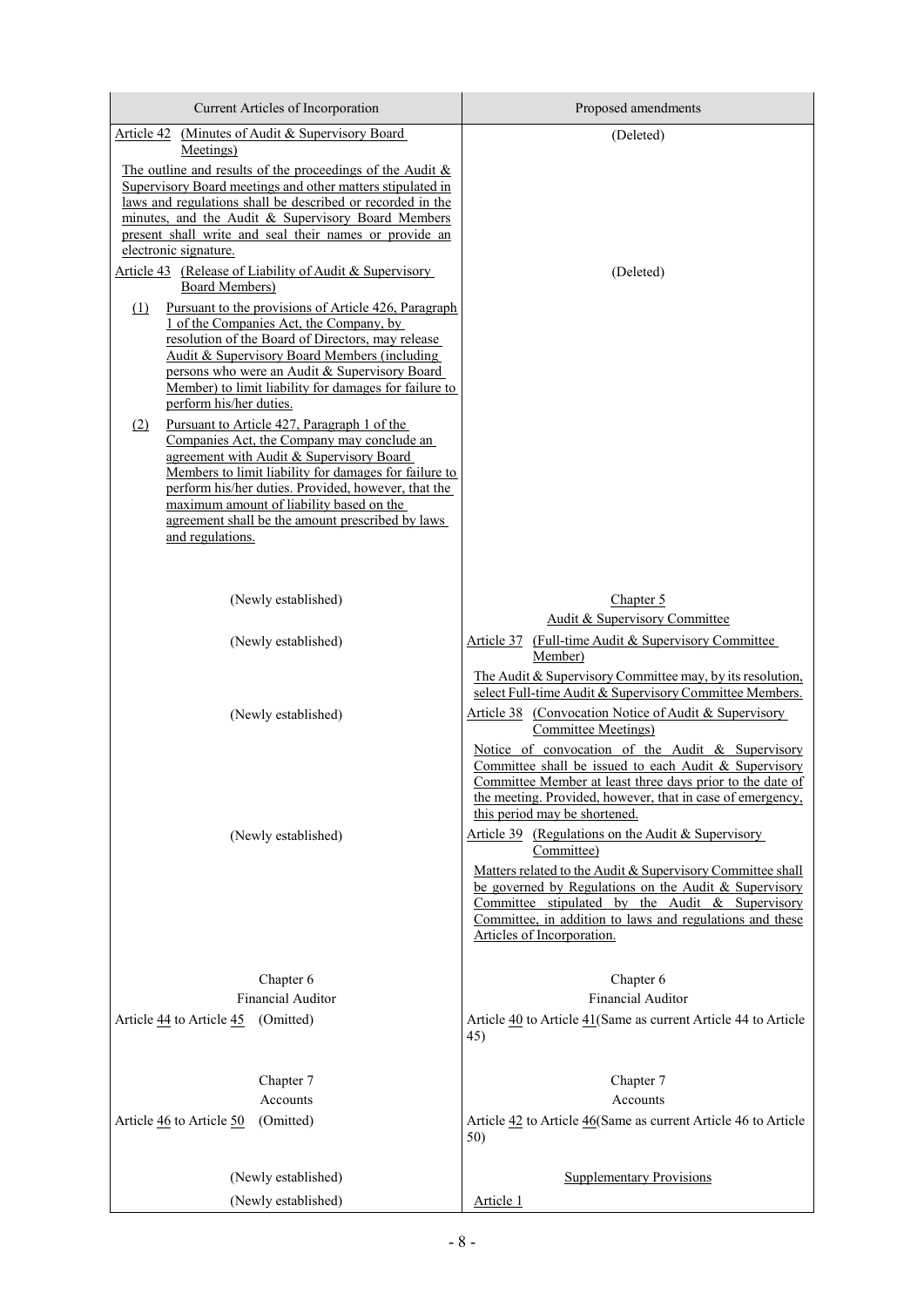| Current Articles of Incorporation                                                                                                                                                                                                                                                                                                                                                | Proposed amendments                                                                                                                                                                                                                                                                                                                                                                                                                          |
|----------------------------------------------------------------------------------------------------------------------------------------------------------------------------------------------------------------------------------------------------------------------------------------------------------------------------------------------------------------------------------|----------------------------------------------------------------------------------------------------------------------------------------------------------------------------------------------------------------------------------------------------------------------------------------------------------------------------------------------------------------------------------------------------------------------------------------------|
| Article 42 (Minutes of Audit & Supervisory Board<br>Meetings)                                                                                                                                                                                                                                                                                                                    | (Deleted)                                                                                                                                                                                                                                                                                                                                                                                                                                    |
| The outline and results of the proceedings of the Audit $\&$<br>Supervisory Board meetings and other matters stipulated in<br>laws and regulations shall be described or recorded in the<br>minutes, and the Audit & Supervisory Board Members<br>present shall write and seal their names or provide an                                                                         |                                                                                                                                                                                                                                                                                                                                                                                                                                              |
| electronic signature.<br>Article 43 (Release of Liability of Audit & Supervisory<br>Board Members)                                                                                                                                                                                                                                                                               | (Deleted)                                                                                                                                                                                                                                                                                                                                                                                                                                    |
| Pursuant to the provisions of Article 426, Paragraph<br>$\Omega$<br>1 of the Companies Act, the Company, by<br>resolution of the Board of Directors, may release<br>Audit & Supervisory Board Members (including<br>persons who were an Audit & Supervisory Board<br>Member) to limit liability for damages for failure to<br>perform his/her duties.                            |                                                                                                                                                                                                                                                                                                                                                                                                                                              |
| Pursuant to Article 427, Paragraph 1 of the<br>(2)<br>Companies Act, the Company may conclude an<br>agreement with Audit & Supervisory Board<br>Members to limit liability for damages for failure to<br>perform his/her duties. Provided, however, that the<br>maximum amount of liability based on the<br>agreement shall be the amount prescribed by laws<br>and regulations. |                                                                                                                                                                                                                                                                                                                                                                                                                                              |
| (Newly established)                                                                                                                                                                                                                                                                                                                                                              | Chapter 5                                                                                                                                                                                                                                                                                                                                                                                                                                    |
|                                                                                                                                                                                                                                                                                                                                                                                  | Audit & Supervisory Committee                                                                                                                                                                                                                                                                                                                                                                                                                |
| (Newly established)                                                                                                                                                                                                                                                                                                                                                              | Article 37 (Full-time Audit & Supervisory Committee)<br>Member)                                                                                                                                                                                                                                                                                                                                                                              |
| (Newly established)                                                                                                                                                                                                                                                                                                                                                              | The Audit & Supervisory Committee may, by its resolution,<br>select Full-time Audit & Supervisory Committee Members.<br>Article 38 (Convocation Notice of Audit & Supervisory<br>Committee Meetings)<br>Notice of convocation of the Audit & Supervisory<br>Committee shall be issued to each Audit & Supervisory<br>Committee Member at least three days prior to the date of<br>the meeting. Provided, however, that in case of emergency, |
| (Newly established)                                                                                                                                                                                                                                                                                                                                                              | this period may be shortened.<br>Article 39 (Regulations on the Audit & Supervisory<br>Committee)<br>Matters related to the Audit & Supervisory Committee shall<br>be governed by Regulations on the Audit & Supervisory<br>Committee stipulated by the Audit $&$ Supervisory<br>Committee, in addition to laws and regulations and these<br>Articles of Incorporation.                                                                      |
| Chapter 6                                                                                                                                                                                                                                                                                                                                                                        | Chapter 6                                                                                                                                                                                                                                                                                                                                                                                                                                    |
| Financial Auditor                                                                                                                                                                                                                                                                                                                                                                | <b>Financial Auditor</b>                                                                                                                                                                                                                                                                                                                                                                                                                     |
| Article 44 to Article 45 (Omitted)                                                                                                                                                                                                                                                                                                                                               | Article 40 to Article 41 (Same as current Article 44 to Article<br>45)                                                                                                                                                                                                                                                                                                                                                                       |
| Chapter 7<br>Accounts<br>Article 46 to Article 50<br>(Omitted)                                                                                                                                                                                                                                                                                                                   | Chapter 7<br>Accounts<br>Article 42 to Article 46(Same as current Article 46 to Article<br>50)                                                                                                                                                                                                                                                                                                                                               |
| (Newly established)<br>(Newly established)                                                                                                                                                                                                                                                                                                                                       | <b>Supplementary Provisions</b><br>Article 1                                                                                                                                                                                                                                                                                                                                                                                                 |
|                                                                                                                                                                                                                                                                                                                                                                                  |                                                                                                                                                                                                                                                                                                                                                                                                                                              |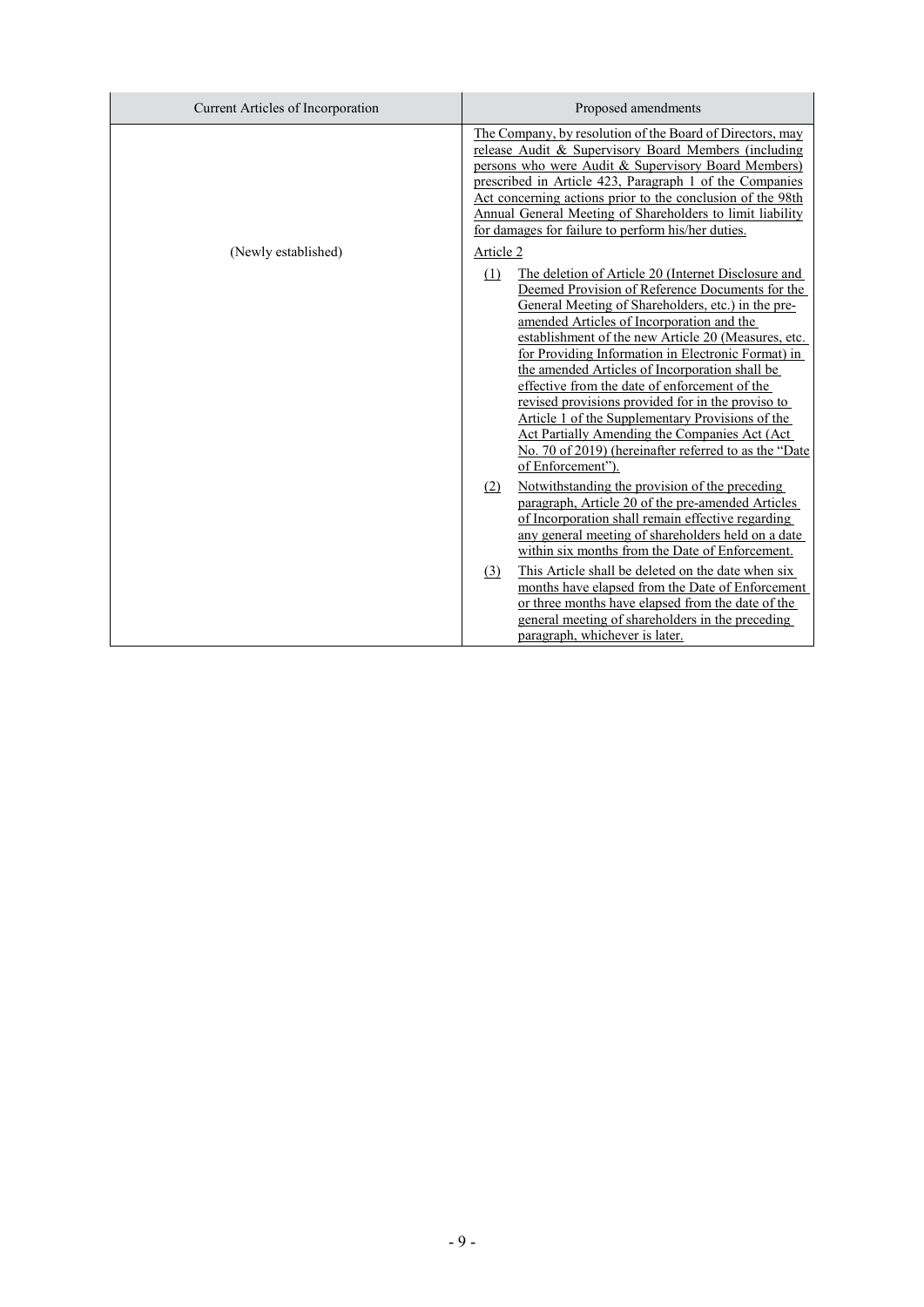| Current Articles of Incorporation | Proposed amendments                                                                                                                                                                                                                                                                                                                                                                                                                                                                                                                                                                                                                                                                   |
|-----------------------------------|---------------------------------------------------------------------------------------------------------------------------------------------------------------------------------------------------------------------------------------------------------------------------------------------------------------------------------------------------------------------------------------------------------------------------------------------------------------------------------------------------------------------------------------------------------------------------------------------------------------------------------------------------------------------------------------|
|                                   | The Company, by resolution of the Board of Directors, may<br>release Audit & Supervisory Board Members (including<br>persons who were Audit & Supervisory Board Members)<br>prescribed in Article 423, Paragraph 1 of the Companies<br>Act concerning actions prior to the conclusion of the 98th<br>Annual General Meeting of Shareholders to limit liability<br>for damages for failure to perform his/her duties.                                                                                                                                                                                                                                                                  |
| (Newly established)               | Article 2<br>(1)<br>The deletion of Article 20 (Internet Disclosure and<br>Deemed Provision of Reference Documents for the<br>General Meeting of Shareholders, etc.) in the pre-<br>amended Articles of Incorporation and the<br>establishment of the new Article 20 (Measures, etc.<br>for Providing Information in Electronic Format) in<br>the amended Articles of Incorporation shall be<br>effective from the date of enforcement of the<br>revised provisions provided for in the proviso to<br>Article 1 of the Supplementary Provisions of the<br>Act Partially Amending the Companies Act (Act<br>No. 70 of 2019) (hereinafter referred to as the "Date<br>of Enforcement"). |
|                                   | Notwithstanding the provision of the preceding<br>(2)<br>paragraph, Article 20 of the pre-amended Articles<br>of Incorporation shall remain effective regarding<br>any general meeting of shareholders held on a date<br>within six months from the Date of Enforcement.                                                                                                                                                                                                                                                                                                                                                                                                              |
|                                   | This Article shall be deleted on the date when six<br>(3)<br>months have elapsed from the Date of Enforcement<br>or three months have elapsed from the date of the<br>general meeting of shareholders in the preceding<br>paragraph, whichever is later.                                                                                                                                                                                                                                                                                                                                                                                                                              |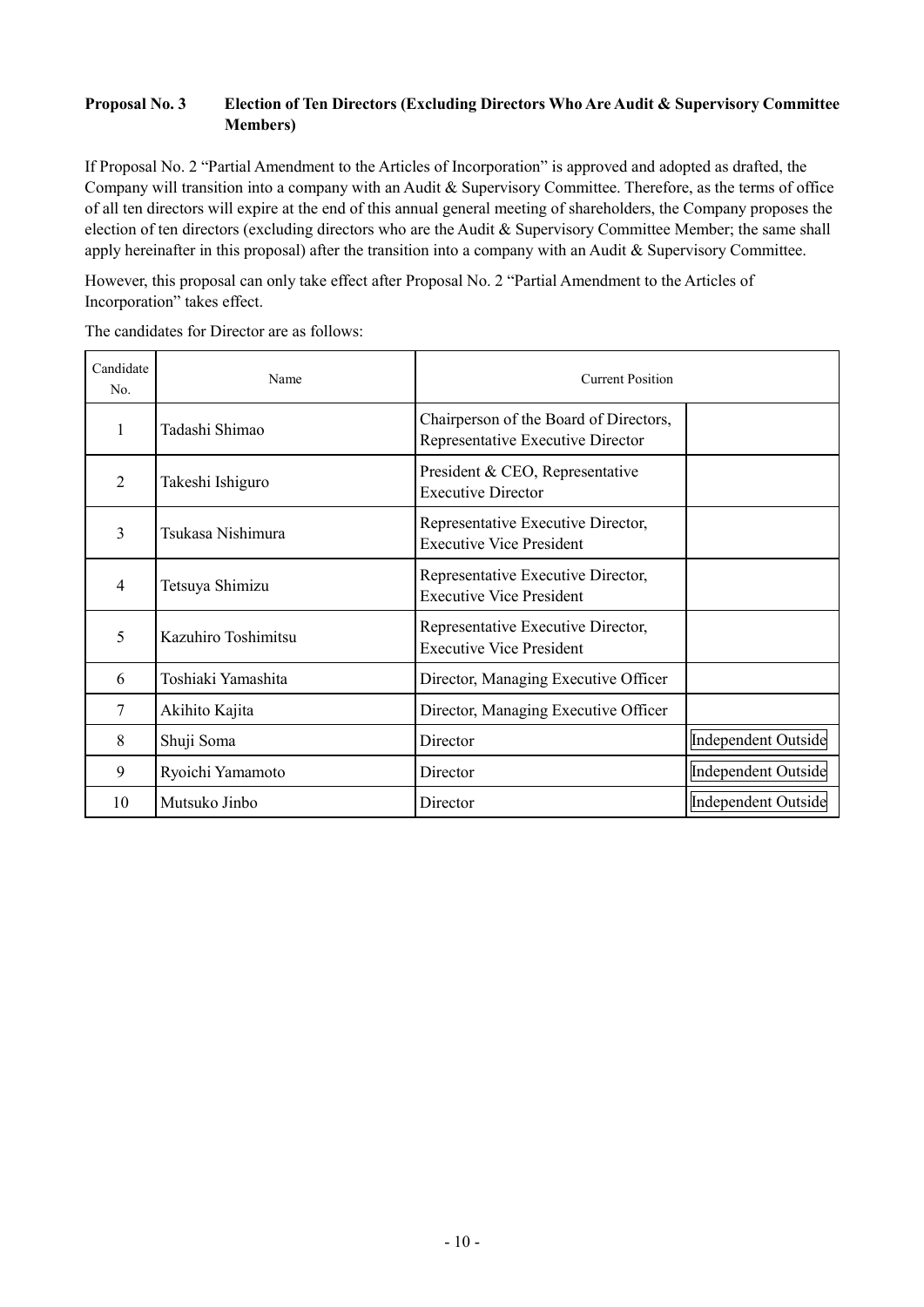# **Proposal No. 3 Election of Ten Directors (Excluding Directors Who Are Audit & Supervisory Committee Members)**

If Proposal No. 2 "Partial Amendment to the Articles of Incorporation" is approved and adopted as drafted, the Company will transition into a company with an Audit & Supervisory Committee. Therefore, as the terms of office of all ten directors will expire at the end of this annual general meeting of shareholders, the Company proposes the election of ten directors (excluding directors who are the Audit & Supervisory Committee Member; the same shall apply hereinafter in this proposal) after the transition into a company with an Audit & Supervisory Committee.

However, this proposal can only take effect after Proposal No. 2 "Partial Amendment to the Articles of Incorporation" takes effect.

The candidates for Director are as follows:

| Candidate<br>No. | Name                | <b>Current Position</b>                                                     |                     |
|------------------|---------------------|-----------------------------------------------------------------------------|---------------------|
| $\mathbf{1}$     | Tadashi Shimao      | Chairperson of the Board of Directors,<br>Representative Executive Director |                     |
| $\overline{2}$   | Takeshi Ishiguro    | President & CEO, Representative<br><b>Executive Director</b>                |                     |
| 3                | Tsukasa Nishimura   | Representative Executive Director,<br><b>Executive Vice President</b>       |                     |
| 4                | Tetsuya Shimizu     | Representative Executive Director,<br><b>Executive Vice President</b>       |                     |
| 5                | Kazuhiro Toshimitsu | Representative Executive Director,<br><b>Executive Vice President</b>       |                     |
| 6                | Toshiaki Yamashita  | Director, Managing Executive Officer                                        |                     |
| 7                | Akihito Kajita      | Director, Managing Executive Officer                                        |                     |
| 8                | Shuji Soma          | Director                                                                    | Independent Outside |
| 9                | Ryoichi Yamamoto    | Director                                                                    | Independent Outside |
| 10               | Mutsuko Jinbo       | Director                                                                    | Independent Outside |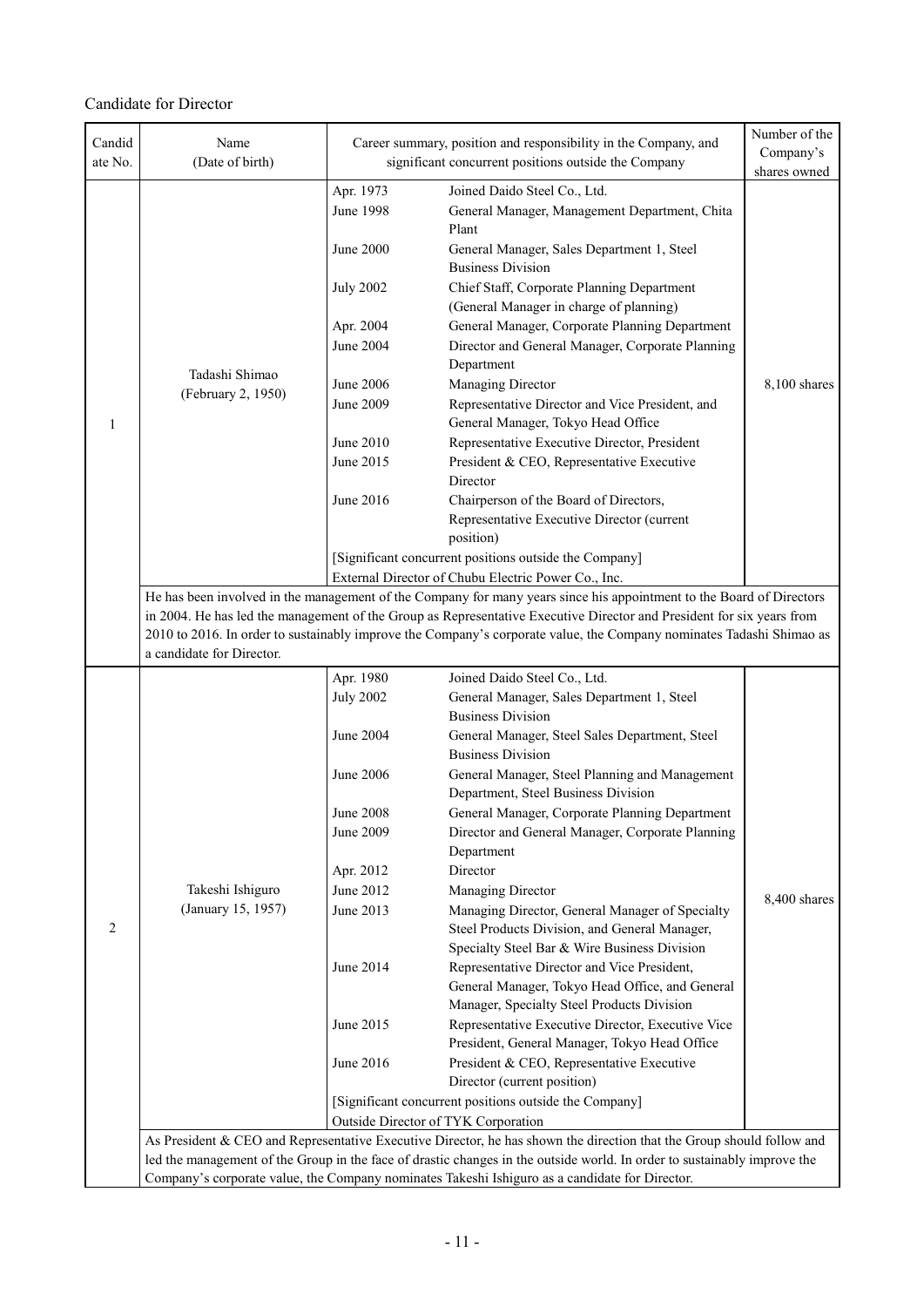# Candidate for Director

| Candid<br>ate No. | Name<br>(Date of birth)                                                                                                  |                                     | Career summary, position and responsibility in the Company, and<br>significant concurrent positions outside the Company | Number of the<br>Company's |
|-------------------|--------------------------------------------------------------------------------------------------------------------------|-------------------------------------|-------------------------------------------------------------------------------------------------------------------------|----------------------------|
|                   |                                                                                                                          |                                     |                                                                                                                         | shares owned               |
|                   |                                                                                                                          | Apr. 1973<br><b>June 1998</b>       | Joined Daido Steel Co., Ltd.<br>General Manager, Management Department, Chita<br>Plant                                  |                            |
|                   |                                                                                                                          | June 2000                           | General Manager, Sales Department 1, Steel<br><b>Business Division</b>                                                  |                            |
|                   |                                                                                                                          | <b>July 2002</b>                    | Chief Staff, Corporate Planning Department<br>(General Manager in charge of planning)                                   |                            |
|                   |                                                                                                                          | Apr. 2004                           | General Manager, Corporate Planning Department                                                                          |                            |
|                   |                                                                                                                          | June 2004                           | Director and General Manager, Corporate Planning                                                                        |                            |
|                   |                                                                                                                          |                                     | Department                                                                                                              |                            |
|                   | Tadashi Shimao                                                                                                           | June 2006                           | Managing Director                                                                                                       | 8,100 shares               |
|                   | (February 2, 1950)                                                                                                       | June 2009                           | Representative Director and Vice President, and                                                                         |                            |
| 1                 |                                                                                                                          |                                     | General Manager, Tokyo Head Office                                                                                      |                            |
|                   |                                                                                                                          | June 2010                           | Representative Executive Director, President                                                                            |                            |
|                   |                                                                                                                          | June 2015                           | President & CEO, Representative Executive<br>Director                                                                   |                            |
|                   |                                                                                                                          | June 2016                           | Chairperson of the Board of Directors,                                                                                  |                            |
|                   |                                                                                                                          |                                     | Representative Executive Director (current                                                                              |                            |
|                   |                                                                                                                          |                                     | position)                                                                                                               |                            |
|                   |                                                                                                                          |                                     | [Significant concurrent positions outside the Company]                                                                  |                            |
|                   |                                                                                                                          |                                     | External Director of Chubu Electric Power Co., Inc.                                                                     |                            |
|                   |                                                                                                                          |                                     | He has been involved in the management of the Company for many years since his appointment to the Board of Directors    |                            |
|                   |                                                                                                                          |                                     | in 2004. He has led the management of the Group as Representative Executive Director and President for six years from   |                            |
|                   | a candidate for Director.                                                                                                |                                     | 2010 to 2016. In order to sustainably improve the Company's corporate value, the Company nominates Tadashi Shimao as    |                            |
|                   |                                                                                                                          | Apr. 1980                           | Joined Daido Steel Co., Ltd.                                                                                            |                            |
|                   |                                                                                                                          | <b>July 2002</b>                    | General Manager, Sales Department 1, Steel                                                                              |                            |
|                   |                                                                                                                          |                                     | <b>Business Division</b>                                                                                                |                            |
|                   |                                                                                                                          | June 2004                           | General Manager, Steel Sales Department, Steel                                                                          |                            |
|                   |                                                                                                                          |                                     | <b>Business Division</b>                                                                                                |                            |
|                   |                                                                                                                          | June 2006                           | General Manager, Steel Planning and Management<br>Department, Steel Business Division                                   |                            |
|                   |                                                                                                                          | <b>June 2008</b>                    | General Manager, Corporate Planning Department                                                                          |                            |
|                   |                                                                                                                          | June 2009                           | Director and General Manager, Corporate Planning                                                                        |                            |
|                   |                                                                                                                          |                                     | Department                                                                                                              |                            |
|                   |                                                                                                                          | Apr. 2012                           | Director                                                                                                                |                            |
|                   | Takeshi Ishiguro                                                                                                         | June 2012                           | Managing Director                                                                                                       | 8,400 shares               |
| 2                 | (January 15, 1957)                                                                                                       | June 2013                           | Managing Director, General Manager of Specialty<br>Steel Products Division, and General Manager,                        |                            |
|                   |                                                                                                                          |                                     | Specialty Steel Bar & Wire Business Division                                                                            |                            |
|                   |                                                                                                                          | June 2014                           | Representative Director and Vice President,                                                                             |                            |
|                   |                                                                                                                          |                                     | General Manager, Tokyo Head Office, and General<br>Manager, Specialty Steel Products Division                           |                            |
|                   |                                                                                                                          | June 2015                           | Representative Executive Director, Executive Vice                                                                       |                            |
|                   |                                                                                                                          |                                     | President, General Manager, Tokyo Head Office                                                                           |                            |
|                   |                                                                                                                          | June 2016                           | President & CEO, Representative Executive                                                                               |                            |
|                   |                                                                                                                          |                                     | Director (current position)                                                                                             |                            |
|                   |                                                                                                                          |                                     | [Significant concurrent positions outside the Company]                                                                  |                            |
|                   |                                                                                                                          | Outside Director of TYK Corporation |                                                                                                                         |                            |
|                   |                                                                                                                          |                                     | As President & CEO and Representative Executive Director, he has shown the direction that the Group should follow and   |                            |
|                   | led the management of the Group in the face of drastic changes in the outside world. In order to sustainably improve the |                                     |                                                                                                                         |                            |
|                   | Company's corporate value, the Company nominates Takeshi Ishiguro as a candidate for Director.                           |                                     |                                                                                                                         |                            |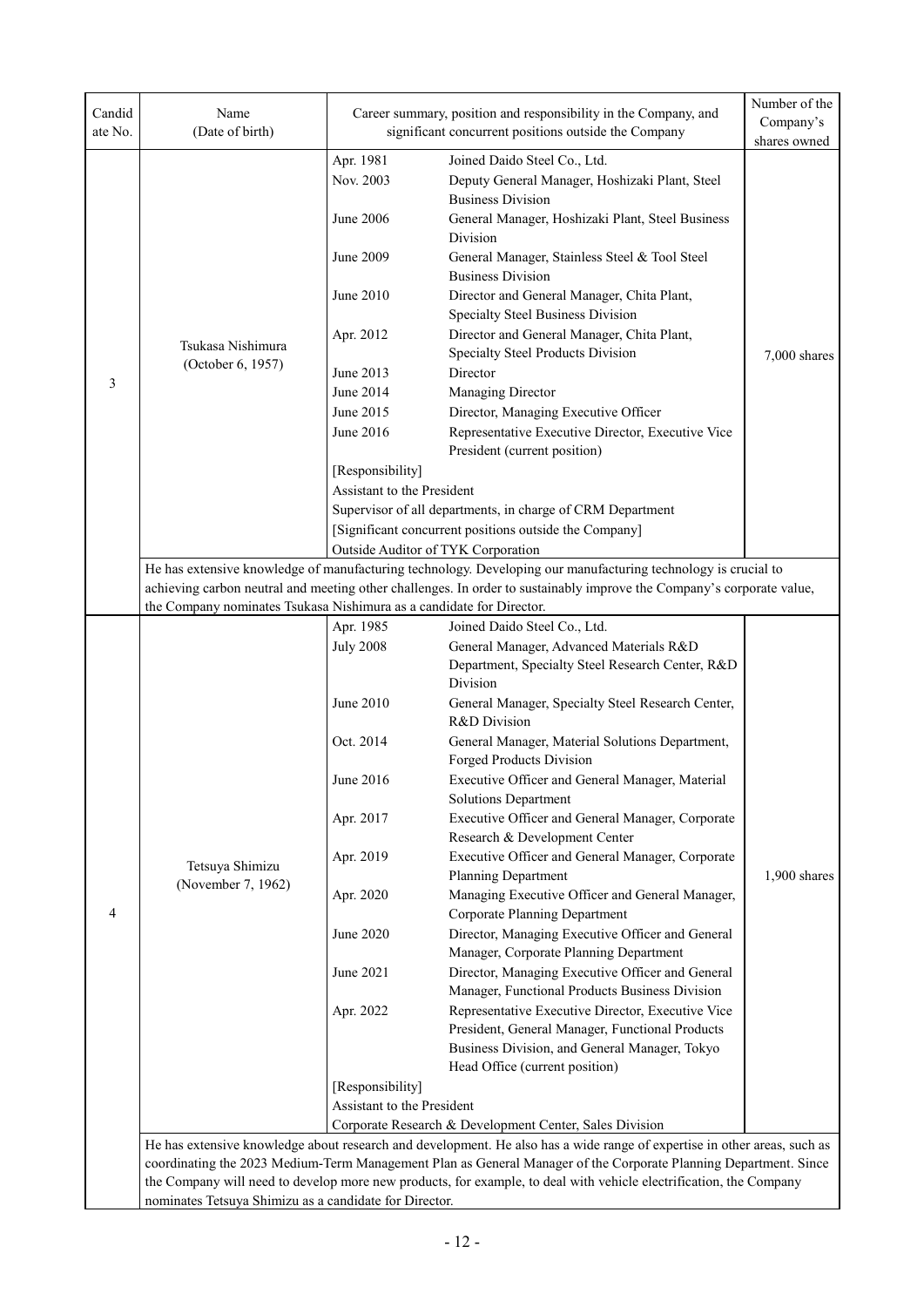| Candid<br>ate No. | Name<br>(Date of birth)                                                                                                                                                             |                               | Career summary, position and responsibility in the Company, and<br>significant concurrent positions outside the Company | Number of the<br>Company's |  |
|-------------------|-------------------------------------------------------------------------------------------------------------------------------------------------------------------------------------|-------------------------------|-------------------------------------------------------------------------------------------------------------------------|----------------------------|--|
|                   |                                                                                                                                                                                     |                               |                                                                                                                         | shares owned               |  |
|                   |                                                                                                                                                                                     | Apr. 1981                     | Joined Daido Steel Co., Ltd.                                                                                            |                            |  |
|                   |                                                                                                                                                                                     | Nov. 2003                     | Deputy General Manager, Hoshizaki Plant, Steel                                                                          |                            |  |
|                   |                                                                                                                                                                                     |                               | <b>Business Division</b>                                                                                                |                            |  |
|                   |                                                                                                                                                                                     | June 2006                     | General Manager, Hoshizaki Plant, Steel Business                                                                        |                            |  |
|                   |                                                                                                                                                                                     |                               | Division                                                                                                                |                            |  |
|                   |                                                                                                                                                                                     | June 2009                     | General Manager, Stainless Steel & Tool Steel<br><b>Business Division</b>                                               |                            |  |
|                   |                                                                                                                                                                                     | June 2010                     | Director and General Manager, Chita Plant,                                                                              |                            |  |
|                   |                                                                                                                                                                                     |                               | Specialty Steel Business Division                                                                                       |                            |  |
|                   |                                                                                                                                                                                     | Apr. 2012                     | Director and General Manager, Chita Plant,                                                                              |                            |  |
|                   | Tsukasa Nishimura                                                                                                                                                                   |                               | Specialty Steel Products Division                                                                                       | 7,000 shares               |  |
|                   | (October 6, 1957)                                                                                                                                                                   | June 2013                     | Director                                                                                                                |                            |  |
| 3                 |                                                                                                                                                                                     | June 2014                     | Managing Director                                                                                                       |                            |  |
|                   |                                                                                                                                                                                     | June 2015                     | Director, Managing Executive Officer                                                                                    |                            |  |
|                   |                                                                                                                                                                                     | June 2016                     | Representative Executive Director, Executive Vice                                                                       |                            |  |
|                   |                                                                                                                                                                                     |                               | President (current position)                                                                                            |                            |  |
|                   |                                                                                                                                                                                     | [Responsibility]              |                                                                                                                         |                            |  |
|                   |                                                                                                                                                                                     | Assistant to the President    |                                                                                                                         |                            |  |
|                   |                                                                                                                                                                                     |                               | Supervisor of all departments, in charge of CRM Department                                                              |                            |  |
|                   |                                                                                                                                                                                     |                               | [Significant concurrent positions outside the Company]                                                                  |                            |  |
|                   | Outside Auditor of TYK Corporation                                                                                                                                                  |                               |                                                                                                                         |                            |  |
|                   |                                                                                                                                                                                     |                               | He has extensive knowledge of manufacturing technology. Developing our manufacturing technology is crucial to           |                            |  |
|                   |                                                                                                                                                                                     |                               | achieving carbon neutral and meeting other challenges. In order to sustainably improve the Company's corporate value,   |                            |  |
|                   | the Company nominates Tsukasa Nishimura as a candidate for Director.                                                                                                                |                               |                                                                                                                         |                            |  |
|                   |                                                                                                                                                                                     | Apr. 1985<br><b>July 2008</b> | Joined Daido Steel Co., Ltd.<br>General Manager, Advanced Materials R&D                                                 |                            |  |
|                   |                                                                                                                                                                                     |                               | Department, Specialty Steel Research Center, R&D                                                                        |                            |  |
|                   |                                                                                                                                                                                     |                               | Division                                                                                                                |                            |  |
|                   |                                                                                                                                                                                     | June 2010                     | General Manager, Specialty Steel Research Center,                                                                       |                            |  |
|                   |                                                                                                                                                                                     |                               | R&D Division                                                                                                            |                            |  |
|                   | Tetsuya Shimizu                                                                                                                                                                     | Oct. 2014                     | General Manager, Material Solutions Department,                                                                         |                            |  |
|                   |                                                                                                                                                                                     |                               | Forged Products Division                                                                                                |                            |  |
|                   |                                                                                                                                                                                     | June 2016                     | Executive Officer and General Manager, Material                                                                         |                            |  |
|                   |                                                                                                                                                                                     |                               | <b>Solutions Department</b>                                                                                             |                            |  |
|                   |                                                                                                                                                                                     | Apr. 2017                     | Executive Officer and General Manager, Corporate                                                                        |                            |  |
|                   |                                                                                                                                                                                     |                               | Research & Development Center                                                                                           |                            |  |
|                   |                                                                                                                                                                                     | Apr. 2019                     | Executive Officer and General Manager, Corporate                                                                        |                            |  |
|                   | (November 7, 1962)                                                                                                                                                                  | Apr. 2020                     | Planning Department<br>Managing Executive Officer and General Manager,                                                  | 1,900 shares               |  |
| 4                 |                                                                                                                                                                                     |                               | Corporate Planning Department                                                                                           |                            |  |
|                   |                                                                                                                                                                                     | June 2020                     | Director, Managing Executive Officer and General                                                                        |                            |  |
|                   |                                                                                                                                                                                     |                               | Manager, Corporate Planning Department                                                                                  |                            |  |
|                   |                                                                                                                                                                                     | June 2021                     | Director, Managing Executive Officer and General                                                                        |                            |  |
|                   |                                                                                                                                                                                     |                               | Manager, Functional Products Business Division                                                                          |                            |  |
|                   |                                                                                                                                                                                     | Apr. 2022                     | Representative Executive Director, Executive Vice                                                                       |                            |  |
|                   |                                                                                                                                                                                     |                               | President, General Manager, Functional Products                                                                         |                            |  |
|                   |                                                                                                                                                                                     |                               | Business Division, and General Manager, Tokyo                                                                           |                            |  |
|                   |                                                                                                                                                                                     |                               | Head Office (current position)                                                                                          |                            |  |
|                   |                                                                                                                                                                                     | [Responsibility]              |                                                                                                                         |                            |  |
|                   |                                                                                                                                                                                     | Assistant to the President    |                                                                                                                         |                            |  |
|                   | Corporate Research & Development Center, Sales Division<br>He has extensive knowledge about research and development. He also has a wide range of expertise in other areas, such as |                               |                                                                                                                         |                            |  |
|                   |                                                                                                                                                                                     |                               | coordinating the 2023 Medium-Term Management Plan as General Manager of the Corporate Planning Department. Since        |                            |  |
|                   | the Company will need to develop more new products, for example, to deal with vehicle electrification, the Company                                                                  |                               |                                                                                                                         |                            |  |
|                   | nominates Tetsuya Shimizu as a candidate for Director.                                                                                                                              |                               |                                                                                                                         |                            |  |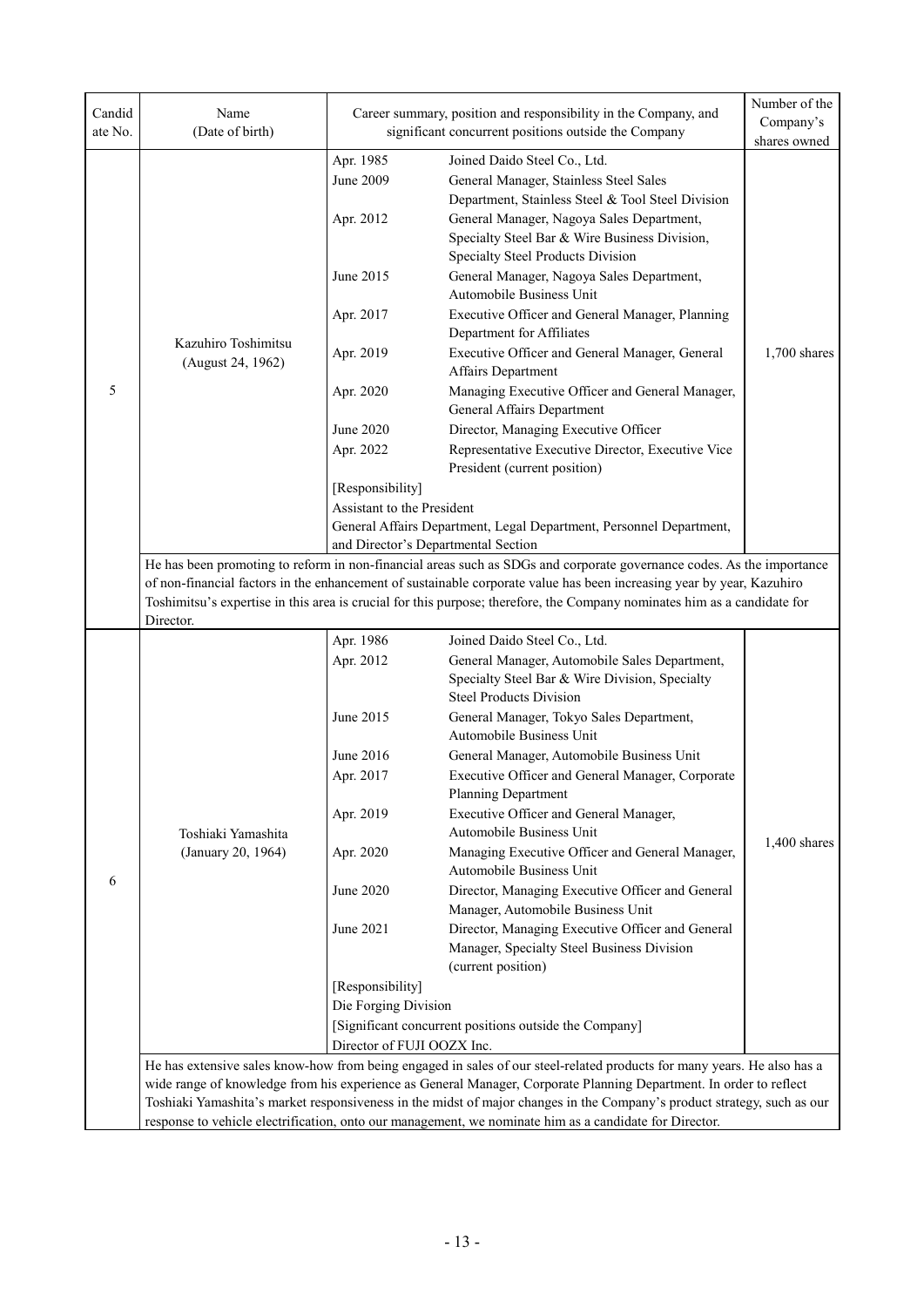| Candid  | Name                                                                                                                                                         |                                                                                                                    | Career summary, position and responsibility in the Company, and                                                                                                                                                                                   | Number of the<br>Company's |  |  |
|---------|--------------------------------------------------------------------------------------------------------------------------------------------------------------|--------------------------------------------------------------------------------------------------------------------|---------------------------------------------------------------------------------------------------------------------------------------------------------------------------------------------------------------------------------------------------|----------------------------|--|--|
| ate No. | (Date of birth)                                                                                                                                              |                                                                                                                    | significant concurrent positions outside the Company                                                                                                                                                                                              |                            |  |  |
|         |                                                                                                                                                              |                                                                                                                    |                                                                                                                                                                                                                                                   | shares owned               |  |  |
|         |                                                                                                                                                              | Apr. 1985<br>June 2009                                                                                             | Joined Daido Steel Co., Ltd.<br>General Manager, Stainless Steel Sales                                                                                                                                                                            |                            |  |  |
|         |                                                                                                                                                              | Apr. 2012                                                                                                          | Department, Stainless Steel & Tool Steel Division<br>General Manager, Nagoya Sales Department,<br>Specialty Steel Bar & Wire Business Division,                                                                                                   |                            |  |  |
|         |                                                                                                                                                              |                                                                                                                    | Specialty Steel Products Division                                                                                                                                                                                                                 |                            |  |  |
|         |                                                                                                                                                              | June 2015                                                                                                          | General Manager, Nagoya Sales Department,<br>Automobile Business Unit                                                                                                                                                                             |                            |  |  |
|         | Kazuhiro Toshimitsu                                                                                                                                          | Apr. 2017                                                                                                          | Executive Officer and General Manager, Planning<br>Department for Affiliates                                                                                                                                                                      |                            |  |  |
|         | (August 24, 1962)                                                                                                                                            | Apr. 2019                                                                                                          | Executive Officer and General Manager, General<br>Affairs Department                                                                                                                                                                              | $1,700$ shares             |  |  |
| 5       |                                                                                                                                                              | Apr. 2020                                                                                                          | Managing Executive Officer and General Manager,<br>General Affairs Department                                                                                                                                                                     |                            |  |  |
|         |                                                                                                                                                              | June 2020                                                                                                          | Director, Managing Executive Officer                                                                                                                                                                                                              |                            |  |  |
|         |                                                                                                                                                              | Apr. 2022                                                                                                          | Representative Executive Director, Executive Vice<br>President (current position)                                                                                                                                                                 |                            |  |  |
|         |                                                                                                                                                              | [Responsibility]                                                                                                   |                                                                                                                                                                                                                                                   |                            |  |  |
|         |                                                                                                                                                              | Assistant to the President                                                                                         |                                                                                                                                                                                                                                                   |                            |  |  |
|         |                                                                                                                                                              |                                                                                                                    | General Affairs Department, Legal Department, Personnel Department,                                                                                                                                                                               |                            |  |  |
|         | and Director's Departmental Section<br>He has been promoting to reform in non-financial areas such as SDGs and corporate governance codes. As the importance |                                                                                                                    |                                                                                                                                                                                                                                                   |                            |  |  |
|         |                                                                                                                                                              |                                                                                                                    |                                                                                                                                                                                                                                                   |                            |  |  |
|         |                                                                                                                                                              |                                                                                                                    | of non-financial factors in the enhancement of sustainable corporate value has been increasing year by year, Kazuhiro<br>Toshimitsu's expertise in this area is crucial for this purpose; therefore, the Company nominates him as a candidate for |                            |  |  |
|         | Director.                                                                                                                                                    |                                                                                                                    |                                                                                                                                                                                                                                                   |                            |  |  |
|         |                                                                                                                                                              | Apr. 1986                                                                                                          | Joined Daido Steel Co., Ltd.                                                                                                                                                                                                                      |                            |  |  |
|         |                                                                                                                                                              | Apr. 2012                                                                                                          | General Manager, Automobile Sales Department,                                                                                                                                                                                                     |                            |  |  |
|         | Toshiaki Yamashita<br>(January 20, 1964)                                                                                                                     |                                                                                                                    | Specialty Steel Bar & Wire Division, Specialty<br><b>Steel Products Division</b>                                                                                                                                                                  |                            |  |  |
|         |                                                                                                                                                              | June 2015                                                                                                          | General Manager, Tokyo Sales Department,<br>Automobile Business Unit                                                                                                                                                                              |                            |  |  |
|         |                                                                                                                                                              | June 2016                                                                                                          | General Manager, Automobile Business Unit                                                                                                                                                                                                         |                            |  |  |
|         |                                                                                                                                                              | Apr. 2017                                                                                                          | Executive Officer and General Manager, Corporate                                                                                                                                                                                                  |                            |  |  |
|         |                                                                                                                                                              |                                                                                                                    | Planning Department                                                                                                                                                                                                                               |                            |  |  |
|         |                                                                                                                                                              | Apr. 2019                                                                                                          | Executive Officer and General Manager,                                                                                                                                                                                                            |                            |  |  |
|         |                                                                                                                                                              | Apr. 2020                                                                                                          | Automobile Business Unit<br>Managing Executive Officer and General Manager,                                                                                                                                                                       | $1,400$ shares             |  |  |
|         |                                                                                                                                                              |                                                                                                                    | Automobile Business Unit                                                                                                                                                                                                                          |                            |  |  |
| 6       |                                                                                                                                                              | June 2020                                                                                                          | Director, Managing Executive Officer and General<br>Manager, Automobile Business Unit                                                                                                                                                             |                            |  |  |
|         |                                                                                                                                                              | June 2021                                                                                                          | Director, Managing Executive Officer and General                                                                                                                                                                                                  |                            |  |  |
|         |                                                                                                                                                              |                                                                                                                    | Manager, Specialty Steel Business Division<br>(current position)                                                                                                                                                                                  |                            |  |  |
|         |                                                                                                                                                              | [Responsibility]                                                                                                   |                                                                                                                                                                                                                                                   |                            |  |  |
|         |                                                                                                                                                              | Die Forging Division                                                                                               |                                                                                                                                                                                                                                                   |                            |  |  |
|         |                                                                                                                                                              | Director of FUJI OOZX Inc.                                                                                         | [Significant concurrent positions outside the Company]                                                                                                                                                                                            |                            |  |  |
|         |                                                                                                                                                              |                                                                                                                    | He has extensive sales know-how from being engaged in sales of our steel-related products for many years. He also has a                                                                                                                           |                            |  |  |
|         |                                                                                                                                                              | wide range of knowledge from his experience as General Manager, Corporate Planning Department. In order to reflect |                                                                                                                                                                                                                                                   |                            |  |  |
|         |                                                                                                                                                              |                                                                                                                    | Toshiaki Yamashita's market responsiveness in the midst of major changes in the Company's product strategy, such as our                                                                                                                           |                            |  |  |
|         | response to vehicle electrification, onto our management, we nominate him as a candidate for Director.                                                       |                                                                                                                    |                                                                                                                                                                                                                                                   |                            |  |  |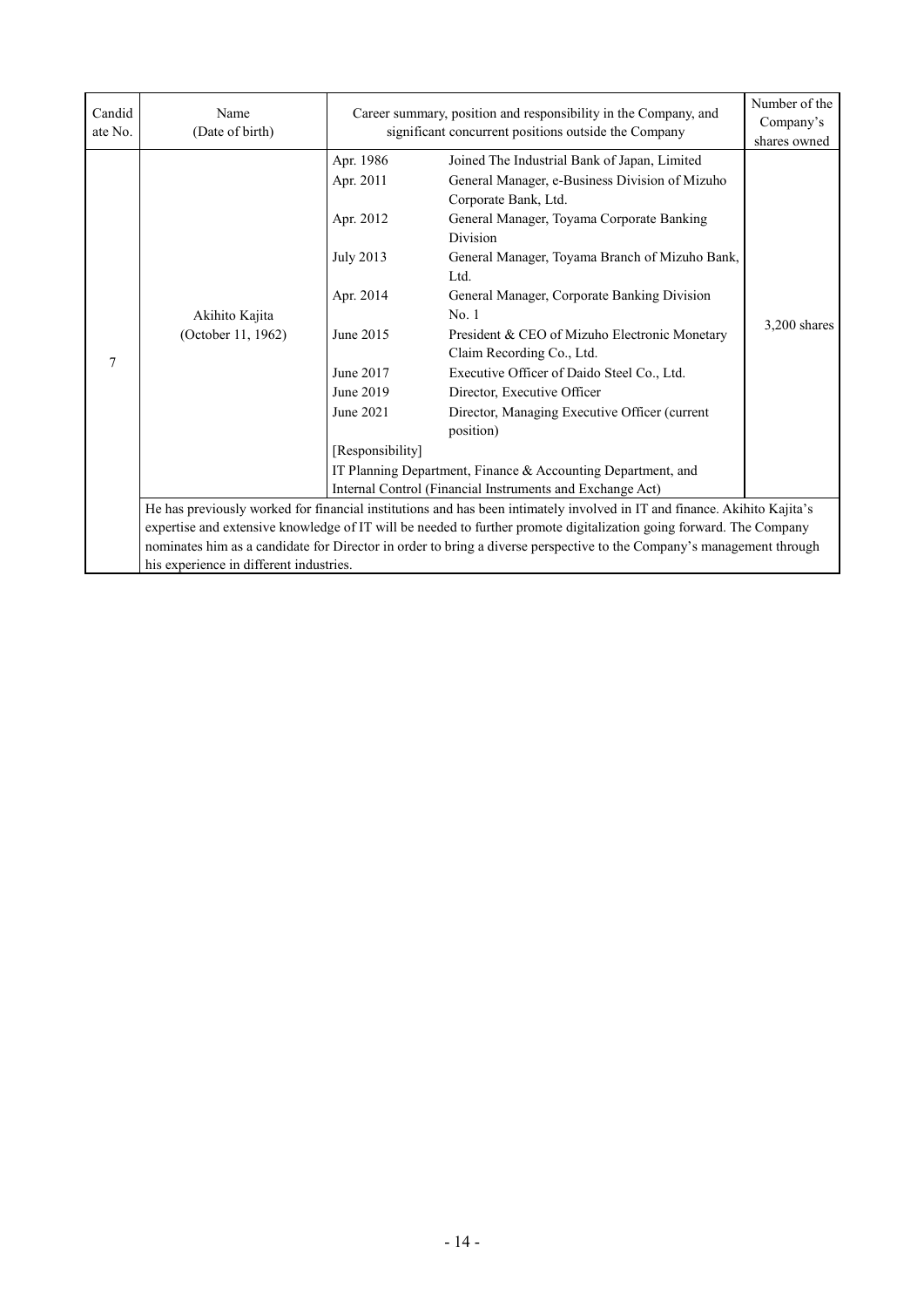| Candid<br>ate No. | Name<br>(Date of birth)                                                                                                                                                                                                                                                                                                                                                                                                                                                          | Career summary, position and responsibility in the Company, and                                                          | Number of the<br>Company's<br>shares owned                                                                                                                                                                                                                                                                                                                                                                                                                                                                                                                                   |                |  |
|-------------------|----------------------------------------------------------------------------------------------------------------------------------------------------------------------------------------------------------------------------------------------------------------------------------------------------------------------------------------------------------------------------------------------------------------------------------------------------------------------------------|--------------------------------------------------------------------------------------------------------------------------|------------------------------------------------------------------------------------------------------------------------------------------------------------------------------------------------------------------------------------------------------------------------------------------------------------------------------------------------------------------------------------------------------------------------------------------------------------------------------------------------------------------------------------------------------------------------------|----------------|--|
| 7                 | Akihito Kajita<br>(October 11, 1962)                                                                                                                                                                                                                                                                                                                                                                                                                                             | Apr. 1986<br>Apr. 2011<br>Apr. 2012<br><b>July 2013</b><br>Apr. 2014<br>June 2015<br>June 2017<br>June 2019<br>June 2021 | significant concurrent positions outside the Company<br>Joined The Industrial Bank of Japan, Limited<br>General Manager, e-Business Division of Mizuho<br>Corporate Bank, Ltd.<br>General Manager, Toyama Corporate Banking<br><b>Division</b><br>General Manager, Toyama Branch of Mizuho Bank,<br>Ltd.<br>General Manager, Corporate Banking Division<br>No. 1<br>President & CEO of Mizuho Electronic Monetary<br>Claim Recording Co., Ltd.<br>Executive Officer of Daido Steel Co., Ltd.<br>Director, Executive Officer<br>Director, Managing Executive Officer (current | $3,200$ shares |  |
|                   |                                                                                                                                                                                                                                                                                                                                                                                                                                                                                  | [Responsibility]                                                                                                         | position)<br>IT Planning Department, Finance & Accounting Department, and                                                                                                                                                                                                                                                                                                                                                                                                                                                                                                    |                |  |
|                   | Internal Control (Financial Instruments and Exchange Act)<br>He has previously worked for financial institutions and has been intimately involved in IT and finance. Akihito Kajita's<br>expertise and extensive knowledge of IT will be needed to further promote digitalization going forward. The Company<br>nominates him as a candidate for Director in order to bring a diverse perspective to the Company's management through<br>his experience in different industries. |                                                                                                                          |                                                                                                                                                                                                                                                                                                                                                                                                                                                                                                                                                                              |                |  |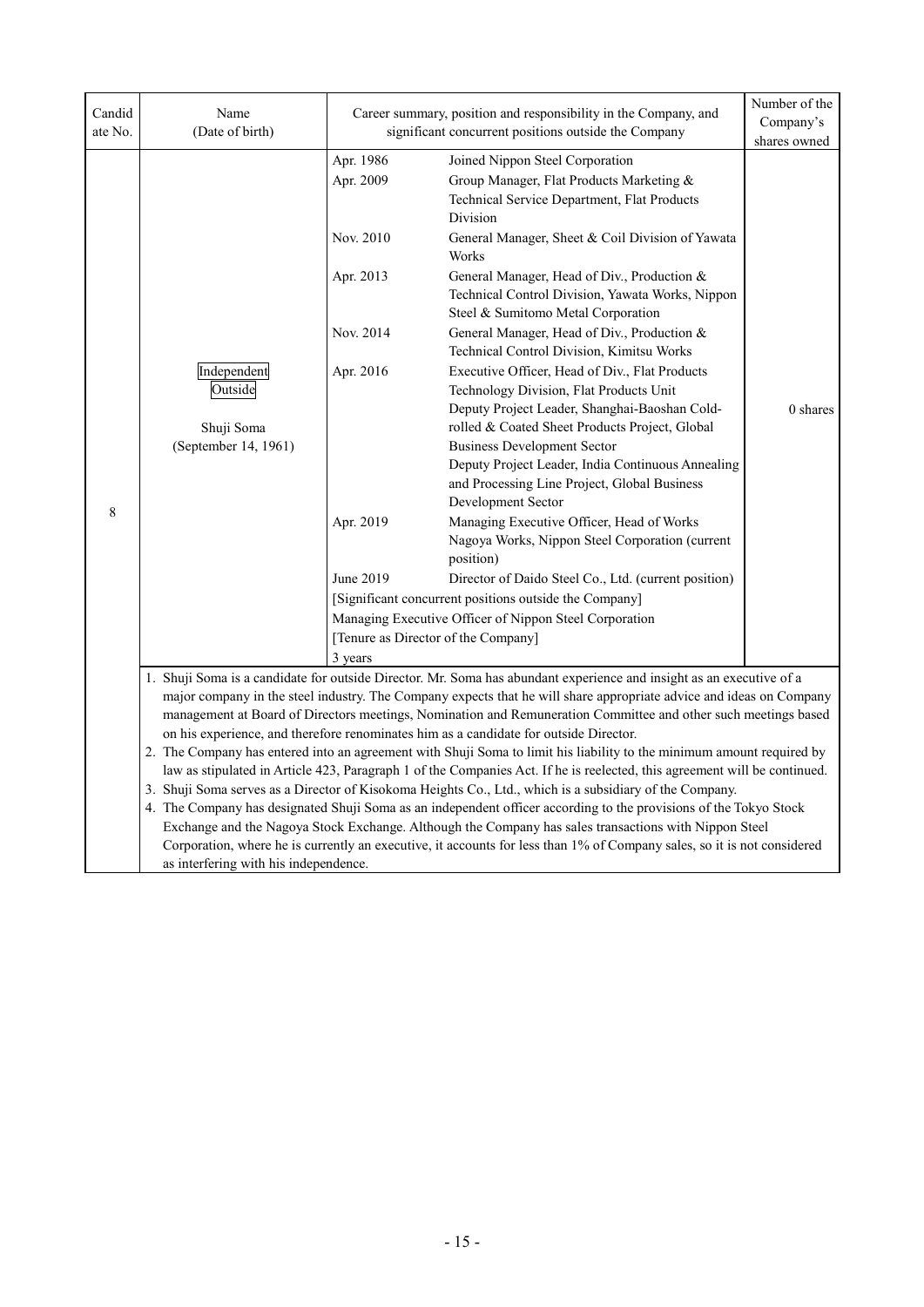| Candid<br>ate No. | Name<br>(Date of birth)                                                                                                                                                                                                                                                                                                                                                                                                                                                                                                                                                                                                                                                                                                                                                                                                                                                                                                                                                    | Career summary, position and responsibility in the Company, and<br>significant concurrent positions outside the Company                                |                                                                                                                                                                                                                                                                                                                                                                                                                                                                                                                                                                                                                                                                                                                                                                                                                                                                                                                                                                                                                                                                                                    | Number of the<br>Company's<br>shares owned |  |  |
|-------------------|----------------------------------------------------------------------------------------------------------------------------------------------------------------------------------------------------------------------------------------------------------------------------------------------------------------------------------------------------------------------------------------------------------------------------------------------------------------------------------------------------------------------------------------------------------------------------------------------------------------------------------------------------------------------------------------------------------------------------------------------------------------------------------------------------------------------------------------------------------------------------------------------------------------------------------------------------------------------------|--------------------------------------------------------------------------------------------------------------------------------------------------------|----------------------------------------------------------------------------------------------------------------------------------------------------------------------------------------------------------------------------------------------------------------------------------------------------------------------------------------------------------------------------------------------------------------------------------------------------------------------------------------------------------------------------------------------------------------------------------------------------------------------------------------------------------------------------------------------------------------------------------------------------------------------------------------------------------------------------------------------------------------------------------------------------------------------------------------------------------------------------------------------------------------------------------------------------------------------------------------------------|--------------------------------------------|--|--|
| 8                 | Independent<br>Outside<br>Shuji Soma<br>(September 14, 1961)                                                                                                                                                                                                                                                                                                                                                                                                                                                                                                                                                                                                                                                                                                                                                                                                                                                                                                               | Apr. 1986<br>Apr. 2009<br>Nov. 2010<br>Apr. 2013<br>Nov. 2014<br>Apr. 2016<br>Apr. 2019<br>June 2019<br>[Tenure as Director of the Company]<br>3 years | Joined Nippon Steel Corporation<br>Group Manager, Flat Products Marketing &<br>Technical Service Department, Flat Products<br>Division<br>General Manager, Sheet & Coil Division of Yawata<br>Works<br>General Manager, Head of Div., Production &<br>Technical Control Division, Yawata Works, Nippon<br>Steel & Sumitomo Metal Corporation<br>General Manager, Head of Div., Production &<br>Technical Control Division, Kimitsu Works<br>Executive Officer, Head of Div., Flat Products<br>Technology Division, Flat Products Unit<br>Deputy Project Leader, Shanghai-Baoshan Cold-<br>rolled & Coated Sheet Products Project, Global<br><b>Business Development Sector</b><br>Deputy Project Leader, India Continuous Annealing<br>and Processing Line Project, Global Business<br>Development Sector<br>Managing Executive Officer, Head of Works<br>Nagoya Works, Nippon Steel Corporation (current<br>position)<br>Director of Daido Steel Co., Ltd. (current position)<br>[Significant concurrent positions outside the Company]<br>Managing Executive Officer of Nippon Steel Corporation | $0$ shares                                 |  |  |
|                   |                                                                                                                                                                                                                                                                                                                                                                                                                                                                                                                                                                                                                                                                                                                                                                                                                                                                                                                                                                            |                                                                                                                                                        | 1. Shuji Soma is a candidate for outside Director. Mr. Soma has abundant experience and insight as an executive of a<br>major company in the steel industry. The Company expects that he will share appropriate advice and ideas on Company                                                                                                                                                                                                                                                                                                                                                                                                                                                                                                                                                                                                                                                                                                                                                                                                                                                        |                                            |  |  |
|                   | management at Board of Directors meetings, Nomination and Remuneration Committee and other such meetings based<br>on his experience, and therefore renominates him as a candidate for outside Director.<br>2. The Company has entered into an agreement with Shuji Soma to limit his liability to the minimum amount required by<br>law as stipulated in Article 423, Paragraph 1 of the Companies Act. If he is reelected, this agreement will be continued.<br>3. Shuji Soma serves as a Director of Kisokoma Heights Co., Ltd., which is a subsidiary of the Company.<br>4. The Company has designated Shuji Soma as an independent officer according to the provisions of the Tokyo Stock<br>Exchange and the Nagoya Stock Exchange. Although the Company has sales transactions with Nippon Steel<br>Corporation, where he is currently an executive, it accounts for less than 1% of Company sales, so it is not considered<br>as interfering with his independence. |                                                                                                                                                        |                                                                                                                                                                                                                                                                                                                                                                                                                                                                                                                                                                                                                                                                                                                                                                                                                                                                                                                                                                                                                                                                                                    |                                            |  |  |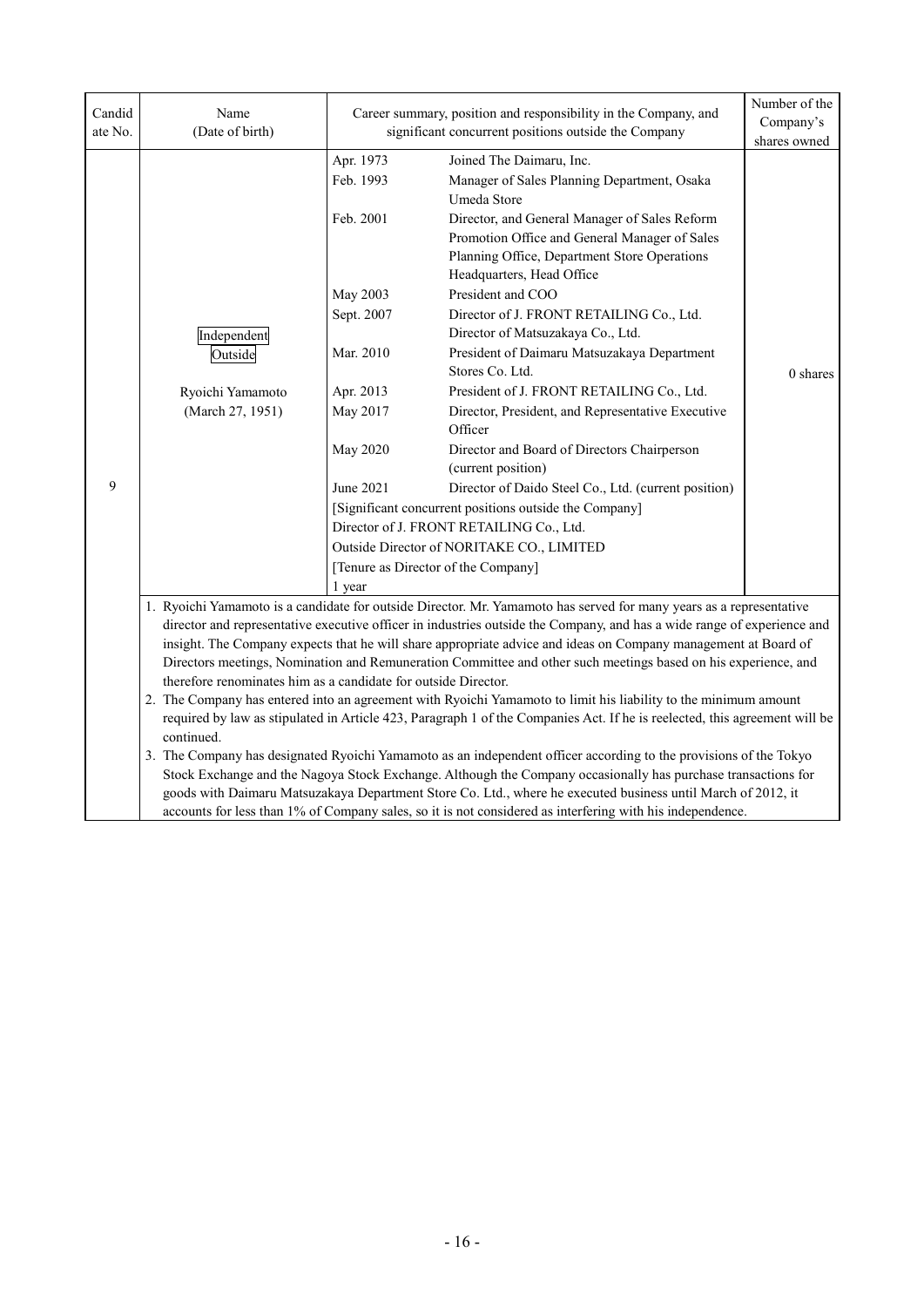| Candid<br>ate No. | Name<br>(Date of birth)                                                                                                                                                                                                                                                                                                                                                                                                                                                                                                                                                                                                                                                                                                                                                                                             | Career summary, position and responsibility in the Company, and<br>significant concurrent positions outside the Company                       |                                                                                                                                                                                                                                                                                                                                                                                                                                                                                                                                                                                                                                                                                                                                                                                                                                                                                   | Number of the<br>Company's<br>shares owned |  |  |
|-------------------|---------------------------------------------------------------------------------------------------------------------------------------------------------------------------------------------------------------------------------------------------------------------------------------------------------------------------------------------------------------------------------------------------------------------------------------------------------------------------------------------------------------------------------------------------------------------------------------------------------------------------------------------------------------------------------------------------------------------------------------------------------------------------------------------------------------------|-----------------------------------------------------------------------------------------------------------------------------------------------|-----------------------------------------------------------------------------------------------------------------------------------------------------------------------------------------------------------------------------------------------------------------------------------------------------------------------------------------------------------------------------------------------------------------------------------------------------------------------------------------------------------------------------------------------------------------------------------------------------------------------------------------------------------------------------------------------------------------------------------------------------------------------------------------------------------------------------------------------------------------------------------|--------------------------------------------|--|--|
| 9                 | Independent<br>Outside<br>Ryoichi Yamamoto<br>(March 27, 1951)                                                                                                                                                                                                                                                                                                                                                                                                                                                                                                                                                                                                                                                                                                                                                      | Apr. 1973<br>Feb. 1993<br>Feb. 2001<br>May 2003<br>Sept. 2007<br>Mar. 2010<br>Apr. 2013<br>May 2017<br><b>May 2020</b><br>June 2021<br>1 year | Joined The Daimaru, Inc.<br>Manager of Sales Planning Department, Osaka<br>Umeda Store<br>Director, and General Manager of Sales Reform<br>Promotion Office and General Manager of Sales<br>Planning Office, Department Store Operations<br>Headquarters, Head Office<br>President and COO<br>Director of J. FRONT RETAILING Co., Ltd.<br>Director of Matsuzakaya Co., Ltd.<br>President of Daimaru Matsuzakaya Department<br>Stores Co. Ltd.<br>President of J. FRONT RETAILING Co., Ltd.<br>Director, President, and Representative Executive<br>Officer<br>Director and Board of Directors Chairperson<br>(current position)<br>Director of Daido Steel Co., Ltd. (current position)<br>[Significant concurrent positions outside the Company]<br>Director of J. FRONT RETAILING Co., Ltd.<br>Outside Director of NORITAKE CO., LIMITED<br>[Tenure as Director of the Company] | 0 shares                                   |  |  |
|                   | 1. Ryoichi Yamamoto is a candidate for outside Director. Mr. Yamamoto has served for many years as a representative<br>director and representative executive officer in industries outside the Company, and has a wide range of experience and<br>insight. The Company expects that he will share appropriate advice and ideas on Company management at Board of<br>Directors meetings, Nomination and Remuneration Committee and other such meetings based on his experience, and<br>therefore renominates him as a candidate for outside Director.<br>2. The Company has entered into an agreement with Ryoichi Yamamoto to limit his liability to the minimum amount<br>required by law as stipulated in Article 423, Paragraph 1 of the Companies Act. If he is reelected, this agreement will be<br>continued. |                                                                                                                                               |                                                                                                                                                                                                                                                                                                                                                                                                                                                                                                                                                                                                                                                                                                                                                                                                                                                                                   |                                            |  |  |
|                   | 3. The Company has designated Ryoichi Yamamoto as an independent officer according to the provisions of the Tokyo<br>Stock Exchange and the Nagoya Stock Exchange. Although the Company occasionally has purchase transactions for<br>goods with Daimaru Matsuzakaya Department Store Co. Ltd., where he executed business until March of 2012, it<br>accounts for less than 1% of Company sales, so it is not considered as interfering with his independence.                                                                                                                                                                                                                                                                                                                                                     |                                                                                                                                               |                                                                                                                                                                                                                                                                                                                                                                                                                                                                                                                                                                                                                                                                                                                                                                                                                                                                                   |                                            |  |  |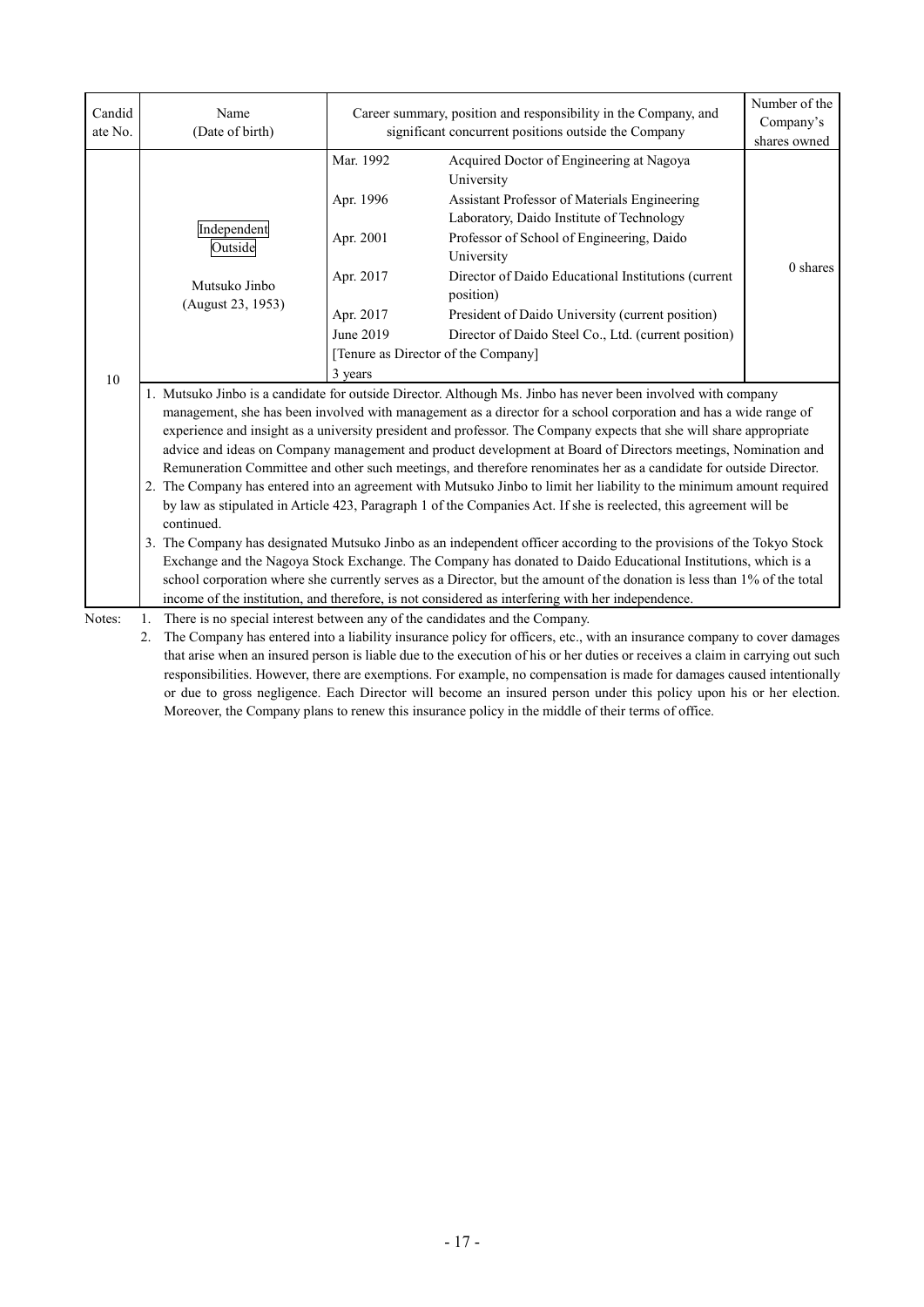| Candid<br>ate No. | Name<br>(Date of birth)                                                                                                                                                                                                                     | Career summary, position and responsibility in the Company, and<br>significant concurrent positions outside the Company  |                                                                                                                                | Number of the<br>Company's<br>shares owned |  |  |  |  |
|-------------------|---------------------------------------------------------------------------------------------------------------------------------------------------------------------------------------------------------------------------------------------|--------------------------------------------------------------------------------------------------------------------------|--------------------------------------------------------------------------------------------------------------------------------|--------------------------------------------|--|--|--|--|
|                   |                                                                                                                                                                                                                                             | Mar. 1992                                                                                                                | Acquired Doctor of Engineering at Nagoya<br>University                                                                         |                                            |  |  |  |  |
|                   |                                                                                                                                                                                                                                             | Apr. 1996                                                                                                                | Assistant Professor of Materials Engineering                                                                                   |                                            |  |  |  |  |
|                   | Independent                                                                                                                                                                                                                                 |                                                                                                                          | Laboratory, Daido Institute of Technology                                                                                      |                                            |  |  |  |  |
|                   | Outside                                                                                                                                                                                                                                     | Apr. 2001                                                                                                                | Professor of School of Engineering, Daido<br>University                                                                        |                                            |  |  |  |  |
|                   |                                                                                                                                                                                                                                             | Apr. 2017                                                                                                                | Director of Daido Educational Institutions (current                                                                            | 0 shares                                   |  |  |  |  |
|                   | Mutsuko Jinbo                                                                                                                                                                                                                               |                                                                                                                          | position)                                                                                                                      |                                            |  |  |  |  |
|                   | (August 23, 1953)                                                                                                                                                                                                                           | Apr. 2017                                                                                                                | President of Daido University (current position)                                                                               |                                            |  |  |  |  |
|                   |                                                                                                                                                                                                                                             | June 2019                                                                                                                | Director of Daido Steel Co., Ltd. (current position)                                                                           |                                            |  |  |  |  |
|                   |                                                                                                                                                                                                                                             | [Tenure as Director of the Company]                                                                                      |                                                                                                                                |                                            |  |  |  |  |
| 10                |                                                                                                                                                                                                                                             | 3 years                                                                                                                  |                                                                                                                                |                                            |  |  |  |  |
|                   | 1. Mutsuko Jinbo is a candidate for outside Director. Although Ms. Jinbo has never been involved with company                                                                                                                               |                                                                                                                          |                                                                                                                                |                                            |  |  |  |  |
|                   | management, she has been involved with management as a director for a school corporation and has a wide range of                                                                                                                            |                                                                                                                          |                                                                                                                                |                                            |  |  |  |  |
|                   | experience and insight as a university president and professor. The Company expects that she will share appropriate                                                                                                                         |                                                                                                                          |                                                                                                                                |                                            |  |  |  |  |
|                   | advice and ideas on Company management and product development at Board of Directors meetings, Nomination and                                                                                                                               |                                                                                                                          |                                                                                                                                |                                            |  |  |  |  |
|                   | Remuneration Committee and other such meetings, and therefore renominates her as a candidate for outside Director.<br>2. The Company has entered into an agreement with Mutsuko Jinbo to limit her liability to the minimum amount required |                                                                                                                          |                                                                                                                                |                                            |  |  |  |  |
|                   | by law as stipulated in Article 423, Paragraph 1 of the Companies Act. If she is reelected, this agreement will be                                                                                                                          |                                                                                                                          |                                                                                                                                |                                            |  |  |  |  |
|                   | continued.                                                                                                                                                                                                                                  |                                                                                                                          |                                                                                                                                |                                            |  |  |  |  |
|                   | 3. The Company has designated Mutsuko Jinbo as an independent officer according to the provisions of the Tokyo Stock                                                                                                                        |                                                                                                                          |                                                                                                                                |                                            |  |  |  |  |
|                   | Exchange and the Nagoya Stock Exchange. The Company has donated to Daido Educational Institutions, which is a                                                                                                                               |                                                                                                                          |                                                                                                                                |                                            |  |  |  |  |
|                   | school corporation where she currently serves as a Director, but the amount of the donation is less than 1% of the total                                                                                                                    |                                                                                                                          |                                                                                                                                |                                            |  |  |  |  |
|                   |                                                                                                                                                                                                                                             |                                                                                                                          | income of the institution, and therefore, is not considered as interfering with her independence.                              |                                            |  |  |  |  |
| Notes:            | 1.                                                                                                                                                                                                                                          |                                                                                                                          | There is no special interest between any of the candidates and the Company.                                                    |                                            |  |  |  |  |
|                   | 2.                                                                                                                                                                                                                                          | The Company has entered into a liability insurance policy for officers, etc., with an insurance company to cover damages |                                                                                                                                |                                            |  |  |  |  |
|                   |                                                                                                                                                                                                                                             |                                                                                                                          | that arise when an insured person is liable due to the execution of his or her duties or receives a claim in carrying out such |                                            |  |  |  |  |

that arise when an insured person is liable due to the execution of his or her duties or receives a claim in carrying out such responsibilities. However, there are exemptions. For example, no compensation is made for damages caused intentionally or due to gross negligence. Each Director will become an insured person under this policy upon his or her election. Moreover, the Company plans to renew this insurance policy in the middle of their terms of office.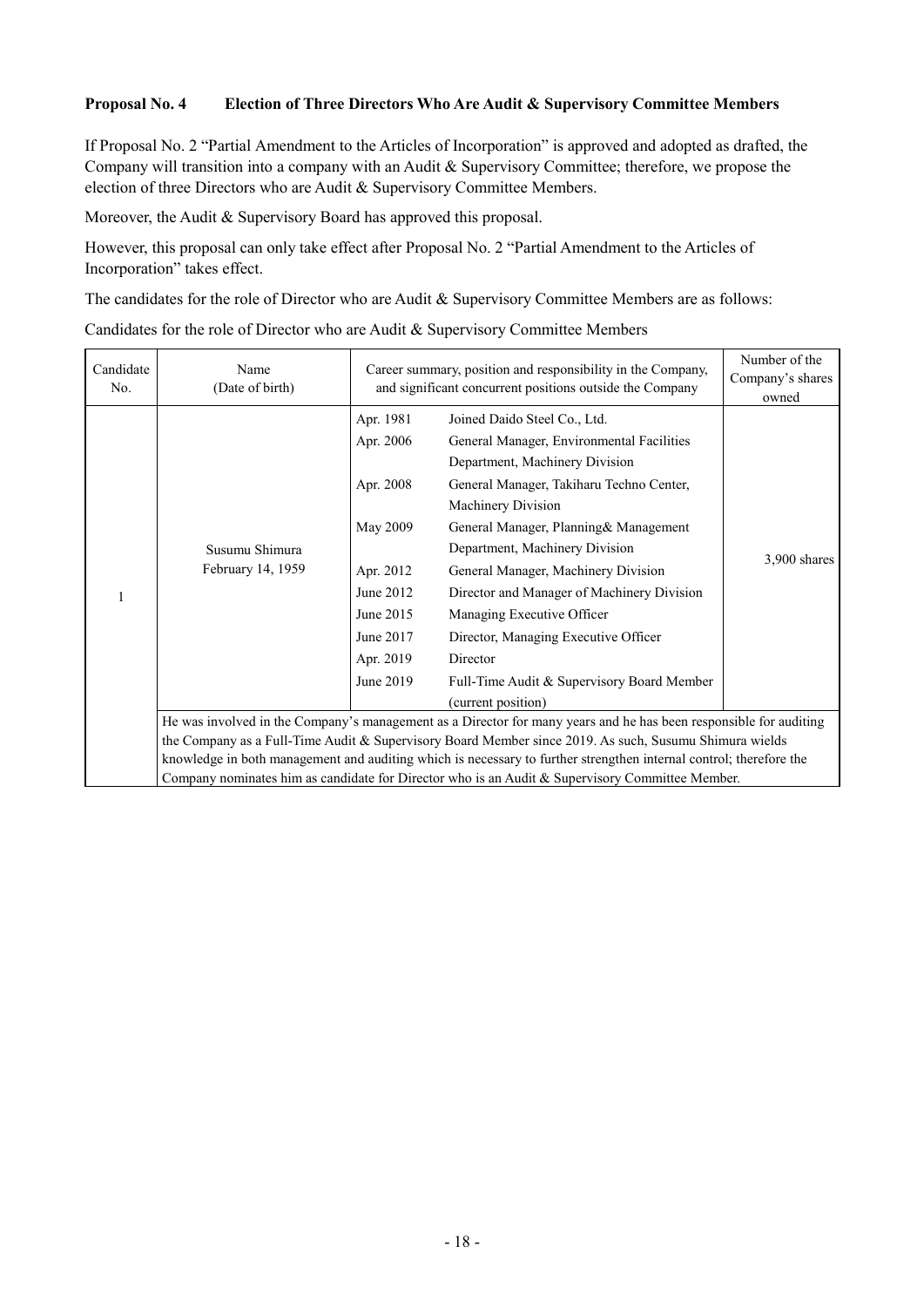#### **Proposal No. 4 Election of Three Directors Who Are Audit & Supervisory Committee Members**

If Proposal No. 2 "Partial Amendment to the Articles of Incorporation" is approved and adopted as drafted, the Company will transition into a company with an Audit & Supervisory Committee; therefore, we propose the election of three Directors who are Audit & Supervisory Committee Members.

Moreover, the Audit & Supervisory Board has approved this proposal.

However, this proposal can only take effect after Proposal No. 2 "Partial Amendment to the Articles of Incorporation" takes effect.

The candidates for the role of Director who are Audit & Supervisory Committee Members are as follows:

#### Candidates for the role of Director who are Audit & Supervisory Committee Members

| Candidate<br>No. | Name<br>(Date of birth)                                                                                            | Career summary, position and responsibility in the Company,<br>and significant concurrent positions outside the Company       | Number of the<br>Company's shares<br>owned                                                                                                                                                                                                                                                                                                                                                                                                                                                           |              |  |  |
|------------------|--------------------------------------------------------------------------------------------------------------------|-------------------------------------------------------------------------------------------------------------------------------|------------------------------------------------------------------------------------------------------------------------------------------------------------------------------------------------------------------------------------------------------------------------------------------------------------------------------------------------------------------------------------------------------------------------------------------------------------------------------------------------------|--------------|--|--|
|                  | Susumu Shimura<br>February 14, 1959                                                                                | Apr. 1981<br>Apr. 2006<br>Apr. 2008<br>May 2009<br>Apr. 2012<br>June 2012<br>June 2015<br>June 2017<br>Apr. 2019<br>June 2019 | Joined Daido Steel Co., Ltd.<br>General Manager, Environmental Facilities<br>Department, Machinery Division<br>General Manager, Takiharu Techno Center,<br>Machinery Division<br>General Manager, Planning & Management<br>Department, Machinery Division<br>General Manager, Machinery Division<br>Director and Manager of Machinery Division<br>Managing Executive Officer<br>Director, Managing Executive Officer<br>Director<br>Full-Time Audit & Supervisory Board Member<br>(current position) | 3,900 shares |  |  |
|                  | He was involved in the Company's management as a Director for many years and he has been responsible for auditing  |                                                                                                                               |                                                                                                                                                                                                                                                                                                                                                                                                                                                                                                      |              |  |  |
|                  |                                                                                                                    | the Company as a Full-Time Audit & Supervisory Board Member since 2019. As such, Susumu Shimura wields                        |                                                                                                                                                                                                                                                                                                                                                                                                                                                                                                      |              |  |  |
|                  | knowledge in both management and auditing which is necessary to further strengthen internal control; therefore the |                                                                                                                               |                                                                                                                                                                                                                                                                                                                                                                                                                                                                                                      |              |  |  |
|                  | Company nominates him as candidate for Director who is an Audit & Supervisory Committee Member.                    |                                                                                                                               |                                                                                                                                                                                                                                                                                                                                                                                                                                                                                                      |              |  |  |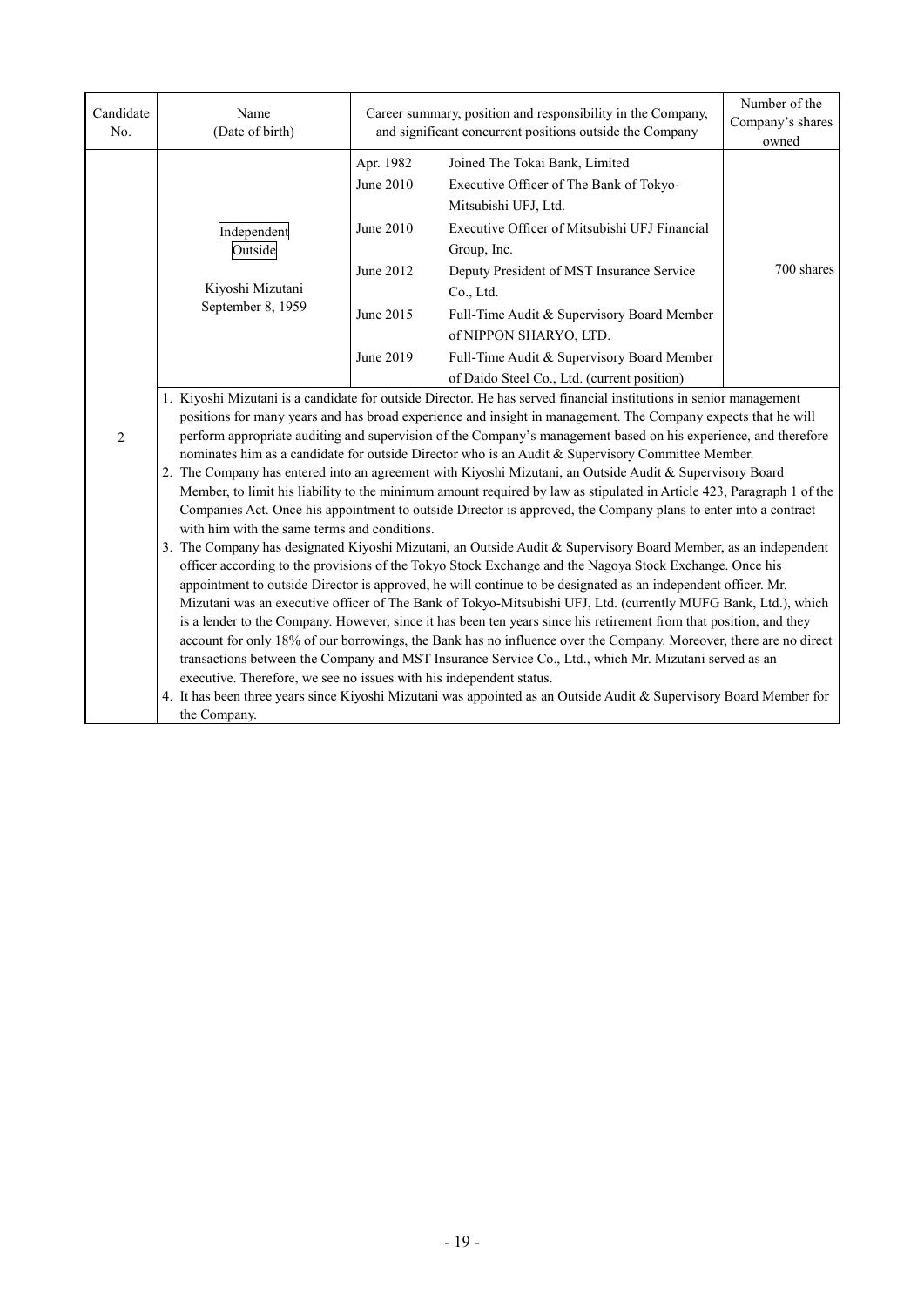| Candidate<br>No. | Name<br>(Date of birth)                                                                                                                                                                                                              | Career summary, position and responsibility in the Company,<br>and significant concurrent positions outside the Company | Number of the<br>Company's shares<br>owned                                                                         |            |  |  |  |  |
|------------------|--------------------------------------------------------------------------------------------------------------------------------------------------------------------------------------------------------------------------------------|-------------------------------------------------------------------------------------------------------------------------|--------------------------------------------------------------------------------------------------------------------|------------|--|--|--|--|
|                  |                                                                                                                                                                                                                                      | Apr. 1982                                                                                                               | Joined The Tokai Bank, Limited                                                                                     |            |  |  |  |  |
|                  |                                                                                                                                                                                                                                      | June 2010                                                                                                               | Executive Officer of The Bank of Tokyo-                                                                            |            |  |  |  |  |
|                  |                                                                                                                                                                                                                                      |                                                                                                                         | Mitsubishi UFJ, Ltd.                                                                                               |            |  |  |  |  |
|                  | Independent                                                                                                                                                                                                                          | June 2010                                                                                                               | Executive Officer of Mitsubishi UFJ Financial                                                                      |            |  |  |  |  |
|                  | Outside                                                                                                                                                                                                                              |                                                                                                                         | Group, Inc.                                                                                                        |            |  |  |  |  |
|                  |                                                                                                                                                                                                                                      | June 2012                                                                                                               | Deputy President of MST Insurance Service                                                                          | 700 shares |  |  |  |  |
|                  | Kiyoshi Mizutani                                                                                                                                                                                                                     |                                                                                                                         | Co., Ltd.                                                                                                          |            |  |  |  |  |
|                  | September 8, 1959                                                                                                                                                                                                                    | June 2015                                                                                                               | Full-Time Audit & Supervisory Board Member                                                                         |            |  |  |  |  |
|                  |                                                                                                                                                                                                                                      |                                                                                                                         | of NIPPON SHARYO, LTD.                                                                                             |            |  |  |  |  |
|                  |                                                                                                                                                                                                                                      | June 2019                                                                                                               | Full-Time Audit & Supervisory Board Member                                                                         |            |  |  |  |  |
|                  |                                                                                                                                                                                                                                      |                                                                                                                         | of Daido Steel Co., Ltd. (current position)                                                                        |            |  |  |  |  |
|                  | 1. Kiyoshi Mizutani is a candidate for outside Director. He has served financial institutions in senior management                                                                                                                   |                                                                                                                         |                                                                                                                    |            |  |  |  |  |
|                  | positions for many years and has broad experience and insight in management. The Company expects that he will                                                                                                                        |                                                                                                                         |                                                                                                                    |            |  |  |  |  |
| $\overline{2}$   | perform appropriate auditing and supervision of the Company's management based on his experience, and therefore<br>nominates him as a candidate for outside Director who is an Audit & Supervisory Committee Member.                 |                                                                                                                         |                                                                                                                    |            |  |  |  |  |
|                  | 2. The Company has entered into an agreement with Kiyoshi Mizutani, an Outside Audit & Supervisory Board                                                                                                                             |                                                                                                                         |                                                                                                                    |            |  |  |  |  |
|                  | Member, to limit his liability to the minimum amount required by law as stipulated in Article 423, Paragraph 1 of the                                                                                                                |                                                                                                                         |                                                                                                                    |            |  |  |  |  |
|                  | Companies Act. Once his appointment to outside Director is approved, the Company plans to enter into a contract                                                                                                                      |                                                                                                                         |                                                                                                                    |            |  |  |  |  |
|                  | with him with the same terms and conditions.                                                                                                                                                                                         |                                                                                                                         |                                                                                                                    |            |  |  |  |  |
|                  | 3. The Company has designated Kiyoshi Mizutani, an Outside Audit & Supervisory Board Member, as an independent                                                                                                                       |                                                                                                                         |                                                                                                                    |            |  |  |  |  |
|                  | officer according to the provisions of the Tokyo Stock Exchange and the Nagoya Stock Exchange. Once his                                                                                                                              |                                                                                                                         |                                                                                                                    |            |  |  |  |  |
|                  | appointment to outside Director is approved, he will continue to be designated as an independent officer. Mr.                                                                                                                        |                                                                                                                         |                                                                                                                    |            |  |  |  |  |
|                  | Mizutani was an executive officer of The Bank of Tokyo-Mitsubishi UFJ, Ltd. (currently MUFG Bank, Ltd.), which<br>is a lender to the Company. However, since it has been ten years since his retirement from that position, and they |                                                                                                                         |                                                                                                                    |            |  |  |  |  |
|                  | account for only 18% of our borrowings, the Bank has no influence over the Company. Moreover, there are no direct                                                                                                                    |                                                                                                                         |                                                                                                                    |            |  |  |  |  |
|                  | transactions between the Company and MST Insurance Service Co., Ltd., which Mr. Mizutani served as an                                                                                                                                |                                                                                                                         |                                                                                                                    |            |  |  |  |  |
|                  | executive. Therefore, we see no issues with his independent status.                                                                                                                                                                  |                                                                                                                         |                                                                                                                    |            |  |  |  |  |
|                  |                                                                                                                                                                                                                                      |                                                                                                                         | 4. It has been three years since Kiyoshi Mizutani was appointed as an Outside Audit & Supervisory Board Member for |            |  |  |  |  |
|                  | the Company.                                                                                                                                                                                                                         |                                                                                                                         |                                                                                                                    |            |  |  |  |  |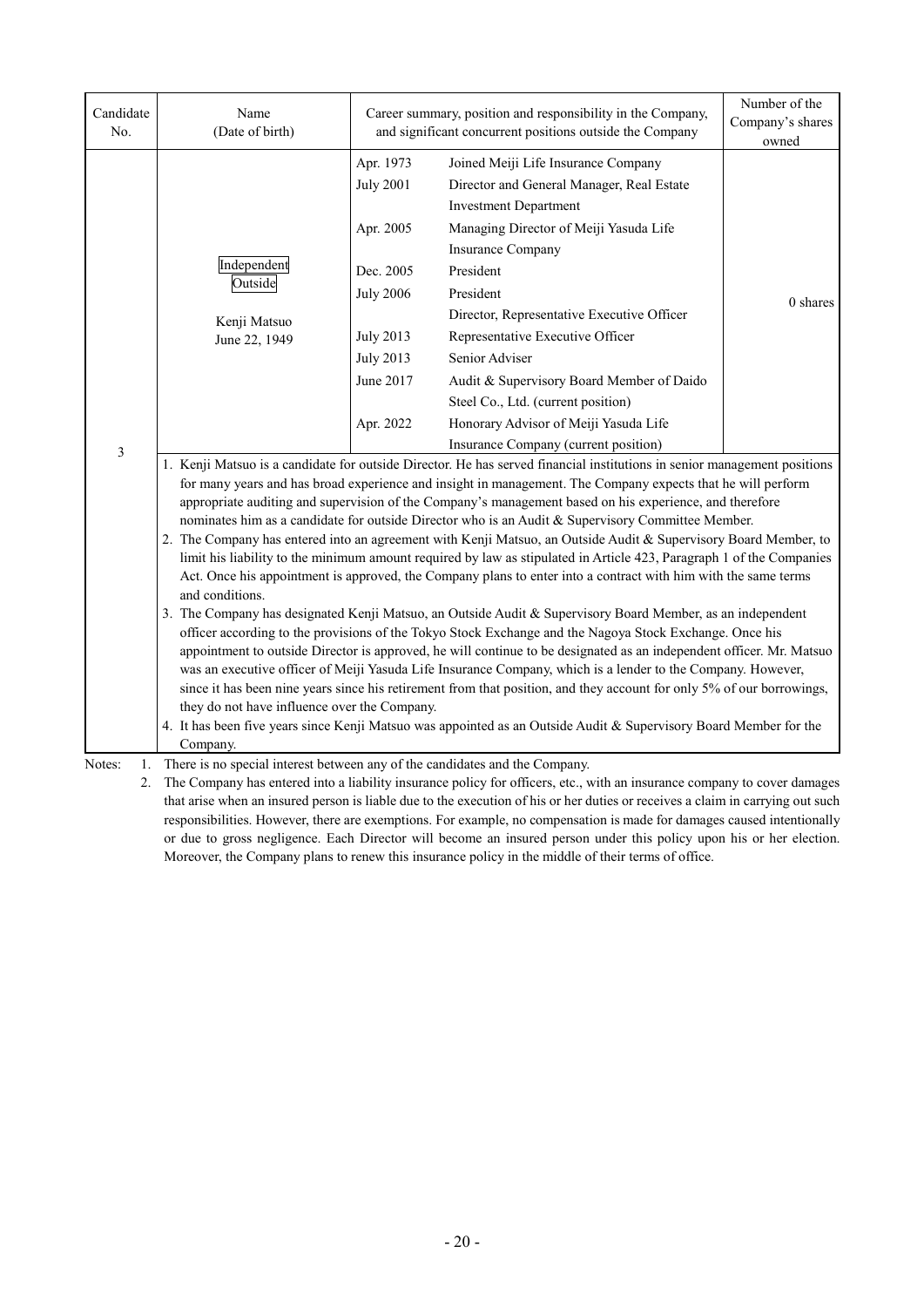| Candidate<br>No.   | Name<br>(Date of birth)                                                                                                                                                                                                                                                                                                                                                                                                                                                                                                                                                                                                                                                                                                                                                                                                                                                                                                                                                                                                                                                                                                                                                                                                                                                                                                                                                                                                                                                                                                                                                                               | Career summary, position and responsibility in the Company,<br>and significant concurrent positions outside the Company | Number of the<br>Company's shares<br>owned                                                                                                                                                                                                                 |          |  |  |
|--------------------|-------------------------------------------------------------------------------------------------------------------------------------------------------------------------------------------------------------------------------------------------------------------------------------------------------------------------------------------------------------------------------------------------------------------------------------------------------------------------------------------------------------------------------------------------------------------------------------------------------------------------------------------------------------------------------------------------------------------------------------------------------------------------------------------------------------------------------------------------------------------------------------------------------------------------------------------------------------------------------------------------------------------------------------------------------------------------------------------------------------------------------------------------------------------------------------------------------------------------------------------------------------------------------------------------------------------------------------------------------------------------------------------------------------------------------------------------------------------------------------------------------------------------------------------------------------------------------------------------------|-------------------------------------------------------------------------------------------------------------------------|------------------------------------------------------------------------------------------------------------------------------------------------------------------------------------------------------------------------------------------------------------|----------|--|--|
|                    |                                                                                                                                                                                                                                                                                                                                                                                                                                                                                                                                                                                                                                                                                                                                                                                                                                                                                                                                                                                                                                                                                                                                                                                                                                                                                                                                                                                                                                                                                                                                                                                                       | Apr. 1973<br><b>July 2001</b>                                                                                           | Joined Meiji Life Insurance Company<br>Director and General Manager, Real Estate<br><b>Investment Department</b>                                                                                                                                           |          |  |  |
|                    |                                                                                                                                                                                                                                                                                                                                                                                                                                                                                                                                                                                                                                                                                                                                                                                                                                                                                                                                                                                                                                                                                                                                                                                                                                                                                                                                                                                                                                                                                                                                                                                                       | Apr. 2005                                                                                                               | Managing Director of Meiji Yasuda Life                                                                                                                                                                                                                     |          |  |  |
|                    | Independent                                                                                                                                                                                                                                                                                                                                                                                                                                                                                                                                                                                                                                                                                                                                                                                                                                                                                                                                                                                                                                                                                                                                                                                                                                                                                                                                                                                                                                                                                                                                                                                           |                                                                                                                         | <b>Insurance Company</b>                                                                                                                                                                                                                                   |          |  |  |
|                    | Outside                                                                                                                                                                                                                                                                                                                                                                                                                                                                                                                                                                                                                                                                                                                                                                                                                                                                                                                                                                                                                                                                                                                                                                                                                                                                                                                                                                                                                                                                                                                                                                                               | Dec. 2005                                                                                                               | President                                                                                                                                                                                                                                                  |          |  |  |
|                    |                                                                                                                                                                                                                                                                                                                                                                                                                                                                                                                                                                                                                                                                                                                                                                                                                                                                                                                                                                                                                                                                                                                                                                                                                                                                                                                                                                                                                                                                                                                                                                                                       | <b>July 2006</b>                                                                                                        | President<br>Director, Representative Executive Officer                                                                                                                                                                                                    | 0 shares |  |  |
|                    | Kenji Matsuo                                                                                                                                                                                                                                                                                                                                                                                                                                                                                                                                                                                                                                                                                                                                                                                                                                                                                                                                                                                                                                                                                                                                                                                                                                                                                                                                                                                                                                                                                                                                                                                          | <b>July 2013</b>                                                                                                        | Representative Executive Officer                                                                                                                                                                                                                           |          |  |  |
|                    | June 22, 1949                                                                                                                                                                                                                                                                                                                                                                                                                                                                                                                                                                                                                                                                                                                                                                                                                                                                                                                                                                                                                                                                                                                                                                                                                                                                                                                                                                                                                                                                                                                                                                                         | <b>July 2013</b>                                                                                                        | Senior Adviser                                                                                                                                                                                                                                             |          |  |  |
|                    |                                                                                                                                                                                                                                                                                                                                                                                                                                                                                                                                                                                                                                                                                                                                                                                                                                                                                                                                                                                                                                                                                                                                                                                                                                                                                                                                                                                                                                                                                                                                                                                                       | June 2017                                                                                                               | Audit & Supervisory Board Member of Daido                                                                                                                                                                                                                  |          |  |  |
|                    |                                                                                                                                                                                                                                                                                                                                                                                                                                                                                                                                                                                                                                                                                                                                                                                                                                                                                                                                                                                                                                                                                                                                                                                                                                                                                                                                                                                                                                                                                                                                                                                                       |                                                                                                                         | Steel Co., Ltd. (current position)                                                                                                                                                                                                                         |          |  |  |
|                    |                                                                                                                                                                                                                                                                                                                                                                                                                                                                                                                                                                                                                                                                                                                                                                                                                                                                                                                                                                                                                                                                                                                                                                                                                                                                                                                                                                                                                                                                                                                                                                                                       | Apr. 2022                                                                                                               | Honorary Advisor of Meiji Yasuda Life                                                                                                                                                                                                                      |          |  |  |
| 3                  |                                                                                                                                                                                                                                                                                                                                                                                                                                                                                                                                                                                                                                                                                                                                                                                                                                                                                                                                                                                                                                                                                                                                                                                                                                                                                                                                                                                                                                                                                                                                                                                                       |                                                                                                                         | Insurance Company (current position)                                                                                                                                                                                                                       |          |  |  |
|                    | 1. Kenji Matsuo is a candidate for outside Director. He has served financial institutions in senior management positions<br>for many years and has broad experience and insight in management. The Company expects that he will perform<br>appropriate auditing and supervision of the Company's management based on his experience, and therefore<br>nominates him as a candidate for outside Director who is an Audit & Supervisory Committee Member.<br>2. The Company has entered into an agreement with Kenji Matsuo, an Outside Audit & Supervisory Board Member, to<br>limit his liability to the minimum amount required by law as stipulated in Article 423, Paragraph 1 of the Companies<br>Act. Once his appointment is approved, the Company plans to enter into a contract with him with the same terms<br>and conditions.<br>3. The Company has designated Kenji Matsuo, an Outside Audit & Supervisory Board Member, as an independent<br>officer according to the provisions of the Tokyo Stock Exchange and the Nagoya Stock Exchange. Once his<br>appointment to outside Director is approved, he will continue to be designated as an independent officer. Mr. Matsuo<br>was an executive officer of Meiji Yasuda Life Insurance Company, which is a lender to the Company. However,<br>since it has been nine years since his retirement from that position, and they account for only 5% of our borrowings,<br>they do not have influence over the Company.<br>4. It has been five years since Kenji Matsuo was appointed as an Outside Audit & Supervisory Board Member for the |                                                                                                                         |                                                                                                                                                                                                                                                            |          |  |  |
| Notes:<br>1.<br>2. | Company.<br>There is no special interest between any of the candidates and the Company.                                                                                                                                                                                                                                                                                                                                                                                                                                                                                                                                                                                                                                                                                                                                                                                                                                                                                                                                                                                                                                                                                                                                                                                                                                                                                                                                                                                                                                                                                                               |                                                                                                                         | The Company has entered into a liability insurance policy for officers, etc., with an insurance company to cover damages<br>that grise when an insured person is liable due to the execution of his or her duties or receives a claim in carrying out such |          |  |  |

that arise when an insured person is liable due to the execution of his or her duties or receives a claim in carrying out such responsibilities. However, there are exemptions. For example, no compensation is made for damages caused intentionally or due to gross negligence. Each Director will become an insured person under this policy upon his or her election. Moreover, the Company plans to renew this insurance policy in the middle of their terms of office.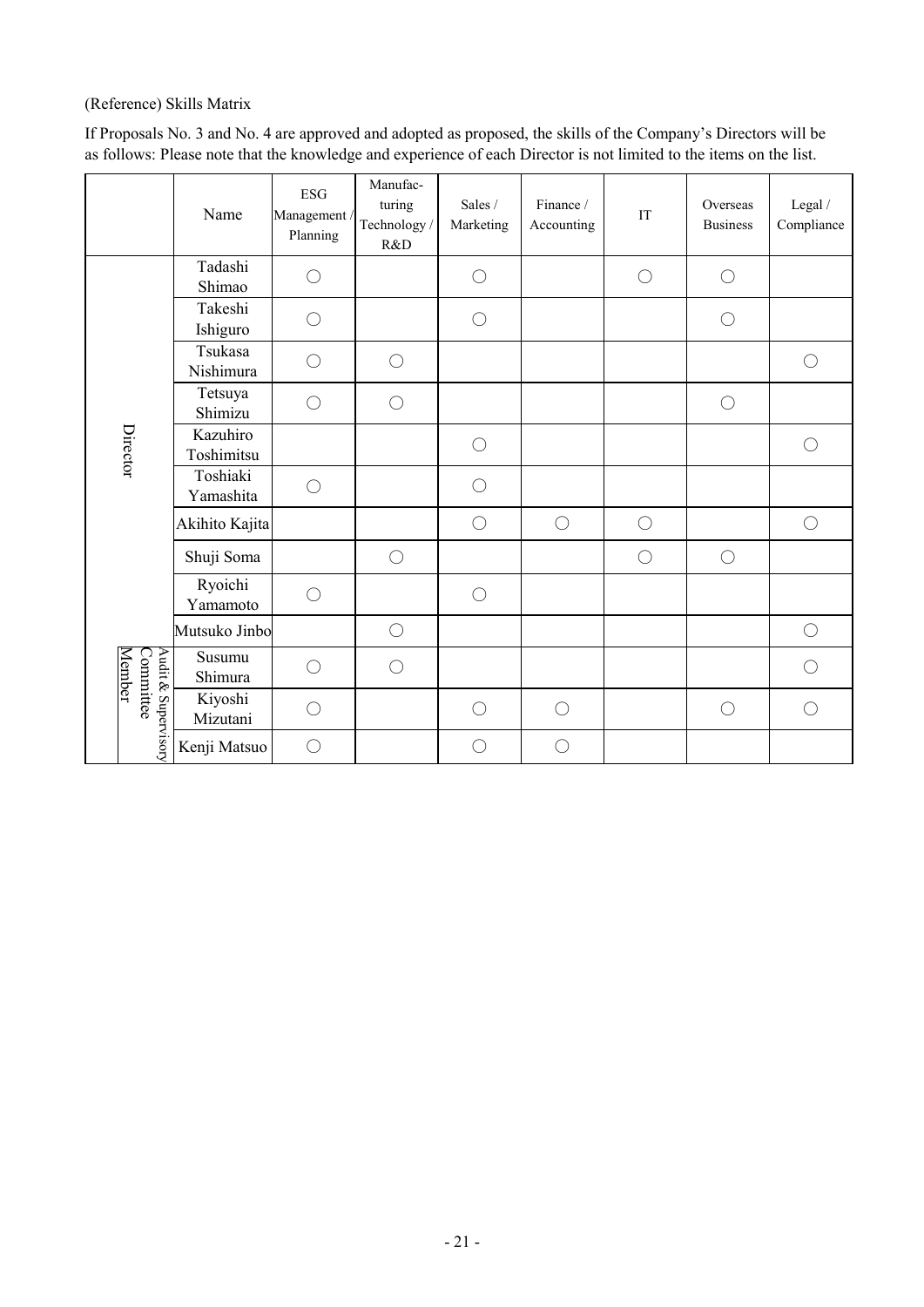# (Reference) Skills Matrix

If Proposals No. 3 and No. 4 are approved and adopted as proposed, the skills of the Company's Directors will be as follows: Please note that the knowledge and experience of each Director is not limited to the items on the list.

|  |                                            | Name                   | <b>ESG</b><br>Management /<br>Planning | Manufac-<br>turing<br>Technology/<br>R&D | Sales /<br>Marketing | Finance /<br>Accounting | IT         | Overseas<br><b>Business</b> | Legal /<br>Compliance |
|--|--------------------------------------------|------------------------|----------------------------------------|------------------------------------------|----------------------|-------------------------|------------|-----------------------------|-----------------------|
|  |                                            | Tadashi<br>Shimao      | ○                                      |                                          | $\bigcirc$           |                         | $\bigcirc$ | $\bigcirc$                  |                       |
|  |                                            | Takeshi<br>Ishiguro    | $\bigcirc$                             |                                          | $\bigcirc$           |                         |            | $\bigcirc$                  |                       |
|  |                                            | Tsukasa<br>Nishimura   | ○                                      | $\bigcirc$                               |                      |                         |            |                             | $\bigcirc$            |
|  |                                            | Tetsuya<br>Shimizu     | ○                                      | $\bigcirc$                               |                      |                         |            | $\bigcirc$                  |                       |
|  | Director                                   | Kazuhiro<br>Toshimitsu |                                        |                                          | $\bigcirc$           |                         |            |                             | $\bigcirc$            |
|  |                                            | Toshiaki<br>Yamashita  | $\bigcirc$                             |                                          | ∩                    |                         |            |                             |                       |
|  |                                            | Akihito Kajita         |                                        |                                          | $\bigcirc$           | $\bigcirc$              | $\bigcirc$ |                             | $\bigcirc$            |
|  |                                            | Shuji Soma             |                                        | $\bigcirc$                               |                      |                         | $\bigcirc$ | $\bigcirc$                  |                       |
|  |                                            | Ryoichi<br>Yamamoto    | $\bigcirc$                             |                                          | $\bigcirc$           |                         |            |                             |                       |
|  |                                            | Mutsuko Jinbo          |                                        | $\bigcirc$                               |                      |                         |            |                             | $\bigcirc$            |
|  | Audit & Supervisory<br>Committee<br>Member | Susumu<br>Shimura      | ○                                      | $\bigcirc$                               |                      |                         |            |                             | ◯                     |
|  |                                            | Kiyoshi<br>Mizutani    | ∩                                      |                                          | ∩                    | $\bigcirc$              |            | $\bigcirc$                  | $\bigcirc$            |
|  |                                            | Kenji Matsuo           | $\bigcirc$                             |                                          | $\bigcirc$           | $\bigcirc$              |            |                             |                       |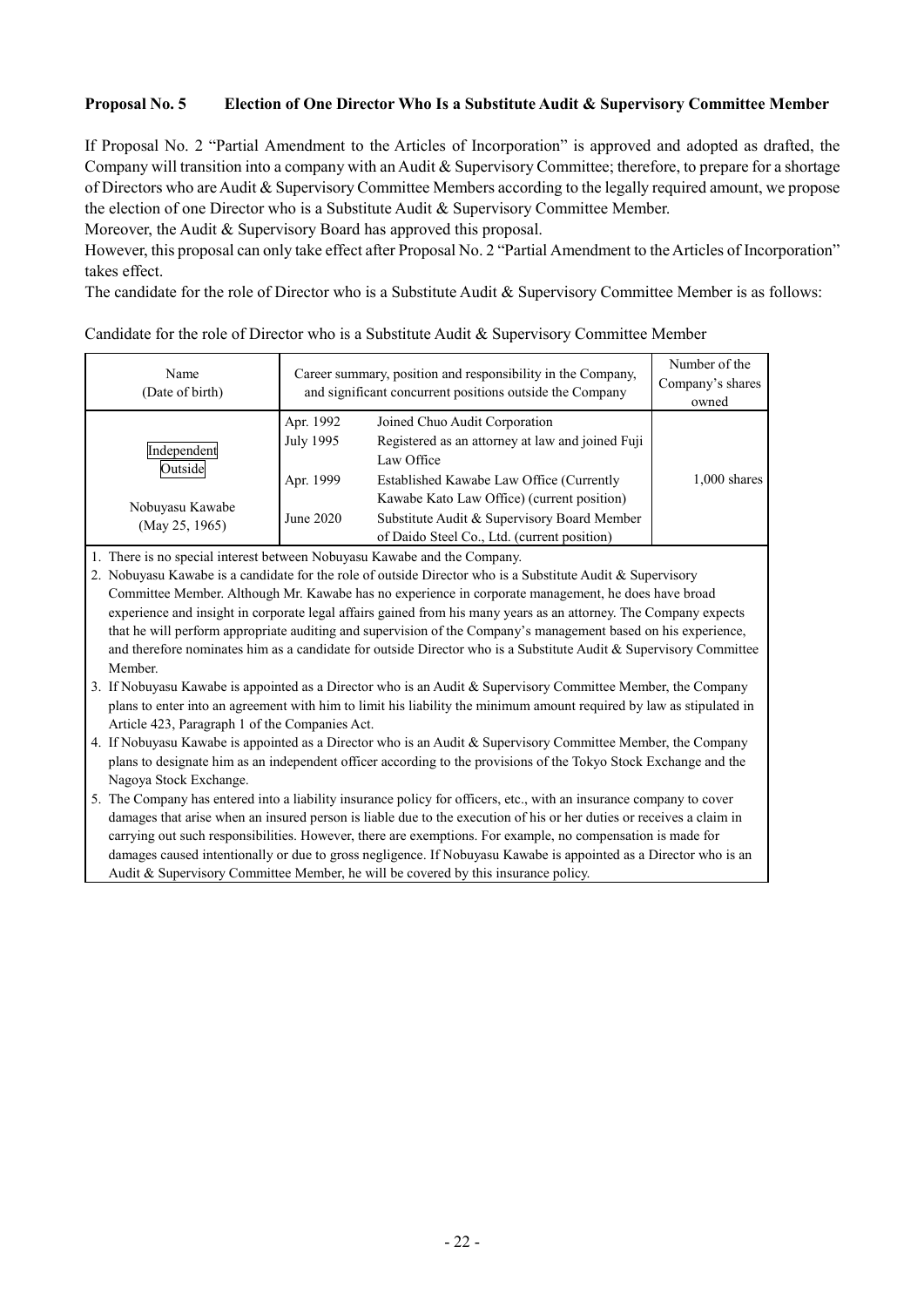# **Proposal No. 5 Election of One Director Who Is a Substitute Audit & Supervisory Committee Member**

If Proposal No. 2 "Partial Amendment to the Articles of Incorporation" is approved and adopted as drafted, the Company will transition into a company with an Audit & Supervisory Committee; therefore, to prepare for a shortage of Directors who are Audit & Supervisory Committee Members according to the legally required amount, we propose the election of one Director who is a Substitute Audit & Supervisory Committee Member.

Moreover, the Audit & Supervisory Board has approved this proposal.

However, this proposal can only take effect after Proposal No. 2 "Partial Amendment to the Articles of Incorporation" takes effect.

The candidate for the role of Director who is a Substitute Audit & Supervisory Committee Member is as follows:

| Name<br>(Date of birth) | Career summary, position and responsibility in the Company,<br>and significant concurrent positions outside the Company | Number of the<br>Company's shares<br>owned       |                |
|-------------------------|-------------------------------------------------------------------------------------------------------------------------|--------------------------------------------------|----------------|
|                         | Apr. 1992                                                                                                               | Joined Chuo Audit Corporation                    |                |
| Independent             | July 1995                                                                                                               | Registered as an attorney at law and joined Fuji |                |
| Outside                 |                                                                                                                         | Law Office                                       |                |
|                         | Apr. 1999                                                                                                               | Established Kawabe Law Office (Currently         | $1,000$ shares |
| Nobuyasu Kawabe         |                                                                                                                         | Kawabe Kato Law Office) (current position)       |                |
| (Mav 25, 1965)          | June 2020                                                                                                               | Substitute Audit & Supervisory Board Member      |                |
|                         |                                                                                                                         | of Daido Steel Co., Ltd. (current position)      |                |

#### Candidate for the role of Director who is a Substitute Audit & Supervisory Committee Member

1. There is no special interest between Nobuyasu Kawabe and the Company.

2. Nobuyasu Kawabe is a candidate for the role of outside Director who is a Substitute Audit & Supervisory Committee Member. Although Mr. Kawabe has no experience in corporate management, he does have broad experience and insight in corporate legal affairs gained from his many years as an attorney. The Company expects that he will perform appropriate auditing and supervision of the Company's management based on his experience, and therefore nominates him as a candidate for outside Director who is a Substitute Audit & Supervisory Committee Member.

3. If Nobuyasu Kawabe is appointed as a Director who is an Audit & Supervisory Committee Member, the Company plans to enter into an agreement with him to limit his liability the minimum amount required by law as stipulated in Article 423, Paragraph 1 of the Companies Act.

4. If Nobuyasu Kawabe is appointed as a Director who is an Audit & Supervisory Committee Member, the Company plans to designate him as an independent officer according to the provisions of the Tokyo Stock Exchange and the Nagoya Stock Exchange.

5. The Company has entered into a liability insurance policy for officers, etc., with an insurance company to cover damages that arise when an insured person is liable due to the execution of his or her duties or receives a claim in carrying out such responsibilities. However, there are exemptions. For example, no compensation is made for damages caused intentionally or due to gross negligence. If Nobuyasu Kawabe is appointed as a Director who is an Audit & Supervisory Committee Member, he will be covered by this insurance policy.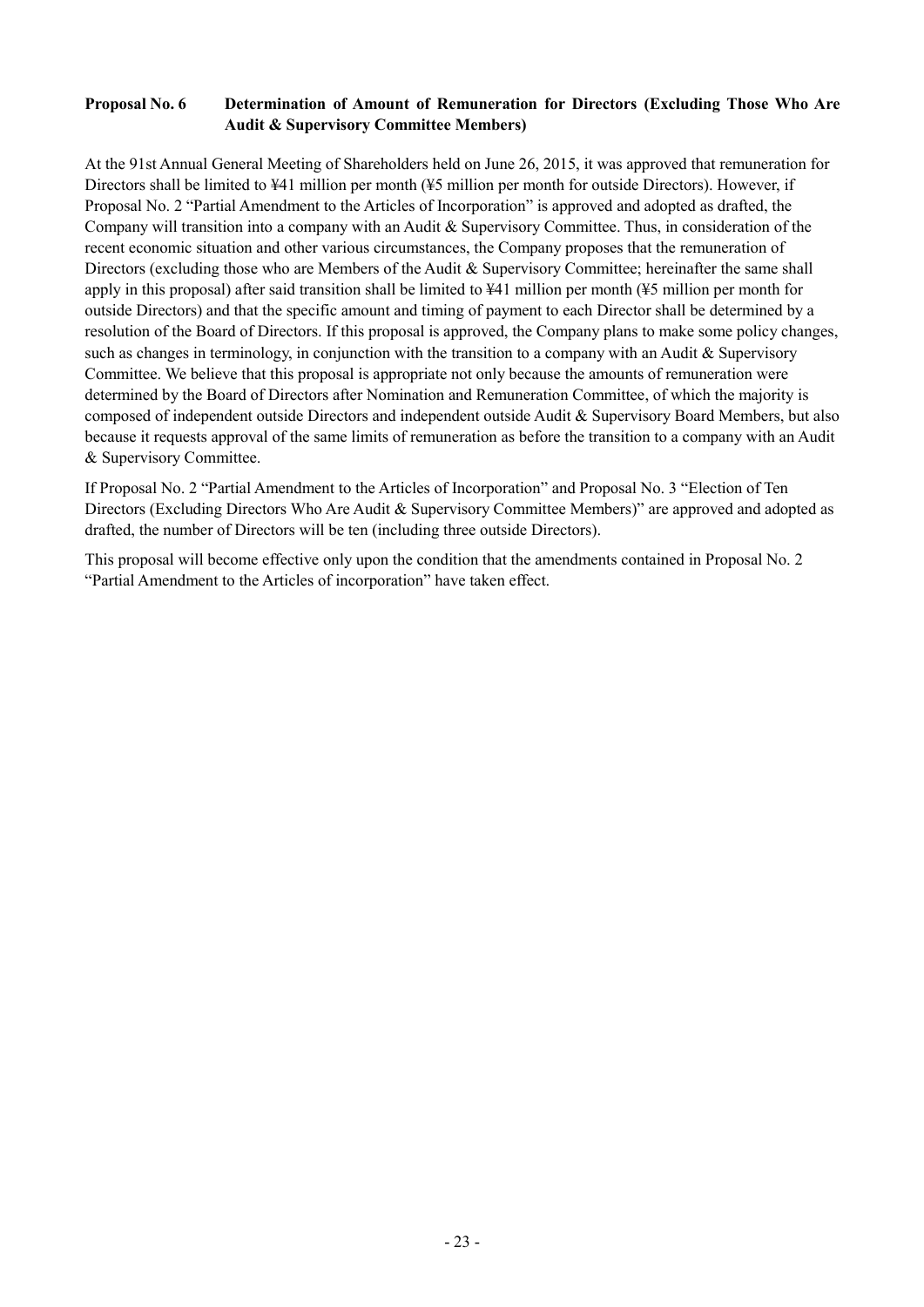# **Proposal No. 6 Determination of Amount of Remuneration for Directors (Excluding Those Who Are Audit & Supervisory Committee Members)**

At the 91st Annual General Meeting of Shareholders held on June 26, 2015, it was approved that remuneration for Directors shall be limited to ¥41 million per month (¥5 million per month for outside Directors). However, if Proposal No. 2 "Partial Amendment to the Articles of Incorporation" is approved and adopted as drafted, the Company will transition into a company with an Audit & Supervisory Committee. Thus, in consideration of the recent economic situation and other various circumstances, the Company proposes that the remuneration of Directors (excluding those who are Members of the Audit & Supervisory Committee; hereinafter the same shall apply in this proposal) after said transition shall be limited to ¥41 million per month (¥5 million per month for outside Directors) and that the specific amount and timing of payment to each Director shall be determined by a resolution of the Board of Directors. If this proposal is approved, the Company plans to make some policy changes, such as changes in terminology, in conjunction with the transition to a company with an Audit & Supervisory Committee. We believe that this proposal is appropriate not only because the amounts of remuneration were determined by the Board of Directors after Nomination and Remuneration Committee, of which the majority is composed of independent outside Directors and independent outside Audit & Supervisory Board Members, but also because it requests approval of the same limits of remuneration as before the transition to a company with an Audit & Supervisory Committee.

If Proposal No. 2 "Partial Amendment to the Articles of Incorporation" and Proposal No. 3 "Election of Ten Directors (Excluding Directors Who Are Audit & Supervisory Committee Members)" are approved and adopted as drafted, the number of Directors will be ten (including three outside Directors).

This proposal will become effective only upon the condition that the amendments contained in Proposal No. 2 "Partial Amendment to the Articles of incorporation" have taken effect.